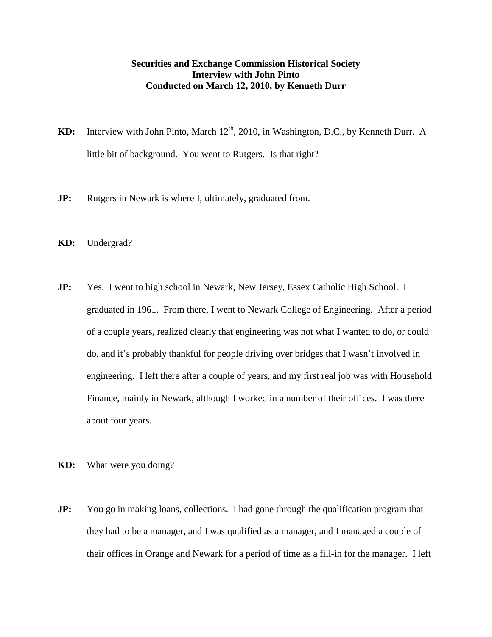## **Securities and Exchange Commission Historical Society Interview with John Pinto Conducted on March 12, 2010, by Kenneth Durr**

- **KD:** Interview with John Pinto, March 12<sup>th</sup>, 2010, in Washington, D.C., by Kenneth Durr. A little bit of background. You went to Rutgers. Is that right?
- **JP:** Rutgers in Newark is where I, ultimately, graduated from.
- **KD:** Undergrad?
- **JP:** Yes. I went to high school in Newark, New Jersey, Essex Catholic High School. I graduated in 1961. From there, I went to Newark College of Engineering. After a period of a couple years, realized clearly that engineering was not what I wanted to do, or could do, and it's probably thankful for people driving over bridges that I wasn't involved in engineering. I left there after a couple of years, and my first real job was with Household Finance, mainly in Newark, although I worked in a number of their offices. I was there about four years.
- **KD:** What were you doing?
- **JP:** You go in making loans, collections. I had gone through the qualification program that they had to be a manager, and I was qualified as a manager, and I managed a couple of their offices in Orange and Newark for a period of time as a fill-in for the manager. I left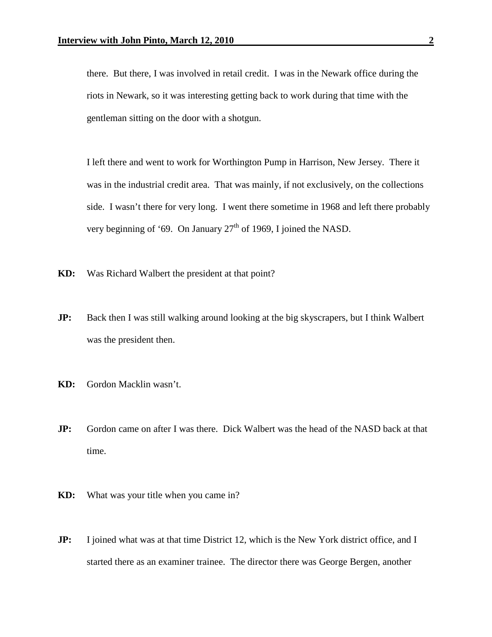there. But there, I was involved in retail credit. I was in the Newark office during the riots in Newark, so it was interesting getting back to work during that time with the gentleman sitting on the door with a shotgun.

I left there and went to work for Worthington Pump in Harrison, New Jersey. There it was in the industrial credit area. That was mainly, if not exclusively, on the collections side. I wasn't there for very long. I went there sometime in 1968 and left there probably very beginning of '69. On January  $27<sup>th</sup>$  of 1969, I joined the NASD.

- **KD:** Was Richard Walbert the president at that point?
- **JP:** Back then I was still walking around looking at the big skyscrapers, but I think Walbert was the president then.
- **KD:** Gordon Macklin wasn't.
- **JP:** Gordon came on after I was there. Dick Walbert was the head of the NASD back at that time.
- **KD:** What was your title when you came in?
- **JP:** I joined what was at that time District 12, which is the New York district office, and I started there as an examiner trainee. The director there was George Bergen, another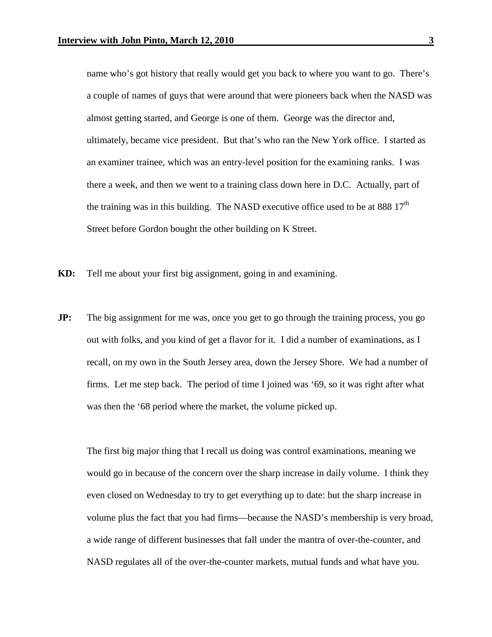name who's got history that really would get you back to where you want to go. There's a couple of names of guys that were around that were pioneers back when the NASD was almost getting started, and George is one of them. George was the director and, ultimately, became vice president. But that's who ran the New York office. I started as an examiner trainee, which was an entry-level position for the examining ranks. I was there a week, and then we went to a training class down here in D.C. Actually, part of the training was in this building. The NASD executive office used to be at 888  $17<sup>th</sup>$ Street before Gordon bought the other building on K Street.

- **KD:** Tell me about your first big assignment, going in and examining.
- **JP:** The big assignment for me was, once you get to go through the training process, you go out with folks, and you kind of get a flavor for it. I did a number of examinations, as I recall, on my own in the South Jersey area, down the Jersey Shore. We had a number of firms. Let me step back. The period of time I joined was '69, so it was right after what was then the '68 period where the market, the volume picked up.

The first big major thing that I recall us doing was control examinations, meaning we would go in because of the concern over the sharp increase in daily volume. I think they even closed on Wednesday to try to get everything up to date: but the sharp increase in volume plus the fact that you had firms—because the NASD's membership is very broad, a wide range of different businesses that fall under the mantra of over-the-counter, and NASD regulates all of the over-the-counter markets, mutual funds and what have you.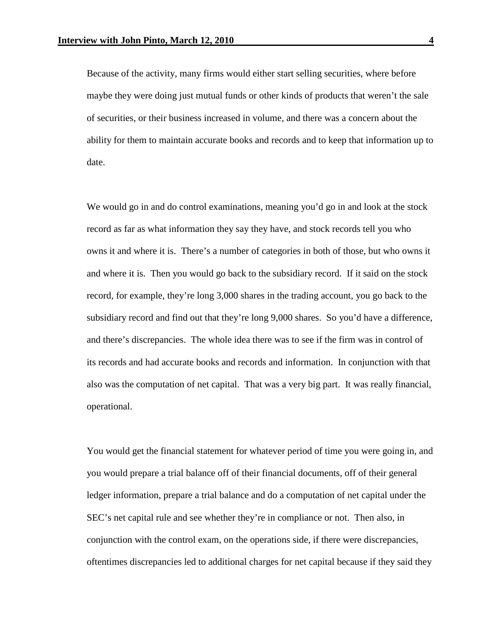Because of the activity, many firms would either start selling securities, where before maybe they were doing just mutual funds or other kinds of products that weren't the sale of securities, or their business increased in volume, and there was a concern about the ability for them to maintain accurate books and records and to keep that information up to date.

We would go in and do control examinations, meaning you'd go in and look at the stock record as far as what information they say they have, and stock records tell you who owns it and where it is. There's a number of categories in both of those, but who owns it and where it is. Then you would go back to the subsidiary record. If it said on the stock record, for example, they're long 3,000 shares in the trading account, you go back to the subsidiary record and find out that they're long 9,000 shares. So you'd have a difference, and there's discrepancies. The whole idea there was to see if the firm was in control of its records and had accurate books and records and information. In conjunction with that also was the computation of net capital. That was a very big part. It was really financial, operational.

You would get the financial statement for whatever period of time you were going in, and you would prepare a trial balance off of their financial documents, off of their general ledger information, prepare a trial balance and do a computation of net capital under the SEC's net capital rule and see whether they're in compliance or not. Then also, in conjunction with the control exam, on the operations side, if there were discrepancies, oftentimes discrepancies led to additional charges for net capital because if they said they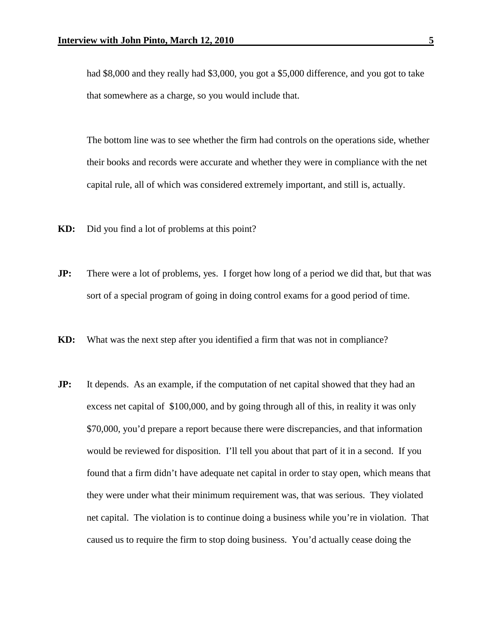had \$8,000 and they really had \$3,000, you got a \$5,000 difference, and you got to take that somewhere as a charge, so you would include that.

The bottom line was to see whether the firm had controls on the operations side, whether their books and records were accurate and whether they were in compliance with the net capital rule, all of which was considered extremely important, and still is, actually.

**KD:** Did you find a lot of problems at this point?

- **JP:** There were a lot of problems, yes. I forget how long of a period we did that, but that was sort of a special program of going in doing control exams for a good period of time.
- **KD:** What was the next step after you identified a firm that was not in compliance?
- **JP:** It depends. As an example, if the computation of net capital showed that they had an excess net capital of \$100,000, and by going through all of this, in reality it was only \$70,000, you'd prepare a report because there were discrepancies, and that information would be reviewed for disposition. I'll tell you about that part of it in a second. If you found that a firm didn't have adequate net capital in order to stay open, which means that they were under what their minimum requirement was, that was serious. They violated net capital. The violation is to continue doing a business while you're in violation. That caused us to require the firm to stop doing business. You'd actually cease doing the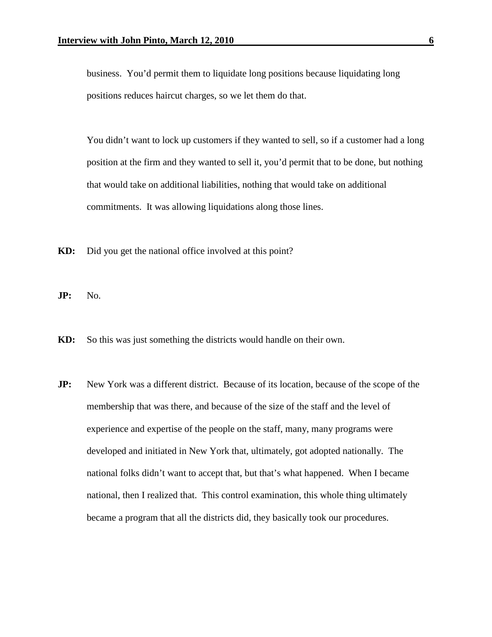business. You'd permit them to liquidate long positions because liquidating long positions reduces haircut charges, so we let them do that.

You didn't want to lock up customers if they wanted to sell, so if a customer had a long position at the firm and they wanted to sell it, you'd permit that to be done, but nothing that would take on additional liabilities, nothing that would take on additional commitments. It was allowing liquidations along those lines.

- **KD:** Did you get the national office involved at this point?
- **JP:** No.
- **KD:** So this was just something the districts would handle on their own.
- **JP:** New York was a different district. Because of its location, because of the scope of the membership that was there, and because of the size of the staff and the level of experience and expertise of the people on the staff, many, many programs were developed and initiated in New York that, ultimately, got adopted nationally. The national folks didn't want to accept that, but that's what happened. When I became national, then I realized that. This control examination, this whole thing ultimately became a program that all the districts did, they basically took our procedures.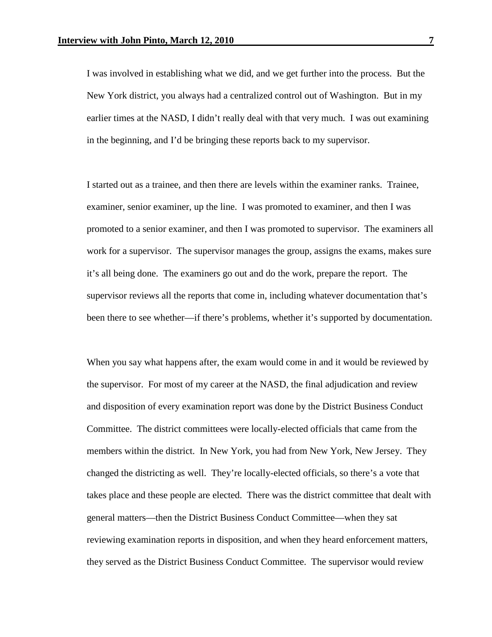I was involved in establishing what we did, and we get further into the process. But the New York district, you always had a centralized control out of Washington. But in my earlier times at the NASD, I didn't really deal with that very much. I was out examining in the beginning, and I'd be bringing these reports back to my supervisor.

I started out as a trainee, and then there are levels within the examiner ranks. Trainee, examiner, senior examiner, up the line. I was promoted to examiner, and then I was promoted to a senior examiner, and then I was promoted to supervisor. The examiners all work for a supervisor. The supervisor manages the group, assigns the exams, makes sure it's all being done. The examiners go out and do the work, prepare the report. The supervisor reviews all the reports that come in, including whatever documentation that's been there to see whether—if there's problems, whether it's supported by documentation.

When you say what happens after, the exam would come in and it would be reviewed by the supervisor. For most of my career at the NASD, the final adjudication and review and disposition of every examination report was done by the District Business Conduct Committee. The district committees were locally-elected officials that came from the members within the district. In New York, you had from New York, New Jersey. They changed the districting as well. They're locally-elected officials, so there's a vote that takes place and these people are elected. There was the district committee that dealt with general matters—then the District Business Conduct Committee—when they sat reviewing examination reports in disposition, and when they heard enforcement matters, they served as the District Business Conduct Committee. The supervisor would review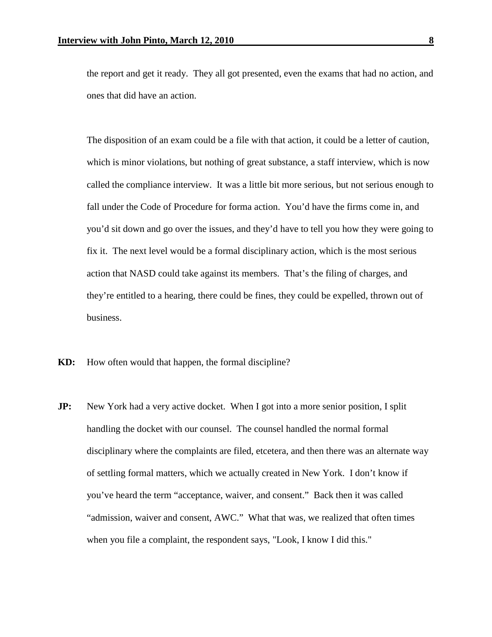the report and get it ready. They all got presented, even the exams that had no action, and ones that did have an action.

The disposition of an exam could be a file with that action, it could be a letter of caution, which is minor violations, but nothing of great substance, a staff interview, which is now called the compliance interview. It was a little bit more serious, but not serious enough to fall under the Code of Procedure for forma action. You'd have the firms come in, and you'd sit down and go over the issues, and they'd have to tell you how they were going to fix it. The next level would be a formal disciplinary action, which is the most serious action that NASD could take against its members. That's the filing of charges, and they're entitled to a hearing, there could be fines, they could be expelled, thrown out of business.

- **KD:** How often would that happen, the formal discipline?
- **JP:** New York had a very active docket. When I got into a more senior position, I split handling the docket with our counsel. The counsel handled the normal formal disciplinary where the complaints are filed, etcetera, and then there was an alternate way of settling formal matters, which we actually created in New York. I don't know if you've heard the term "acceptance, waiver, and consent." Back then it was called "admission, waiver and consent, AWC." What that was, we realized that often times when you file a complaint, the respondent says, "Look, I know I did this."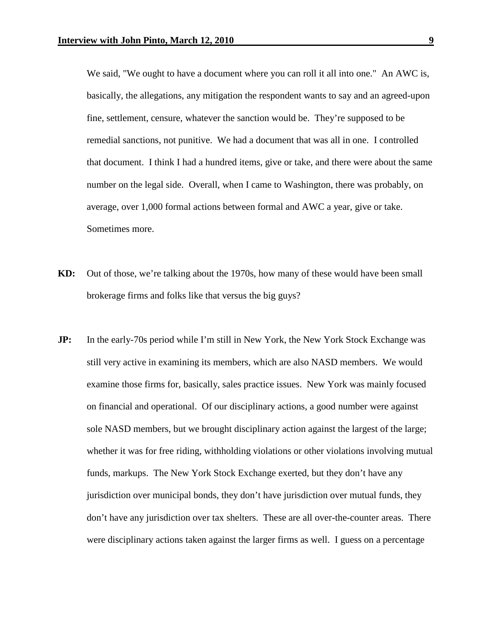We said, "We ought to have a document where you can roll it all into one." An AWC is, basically, the allegations, any mitigation the respondent wants to say and an agreed-upon fine, settlement, censure, whatever the sanction would be. They're supposed to be remedial sanctions, not punitive. We had a document that was all in one. I controlled that document. I think I had a hundred items, give or take, and there were about the same number on the legal side. Overall, when I came to Washington, there was probably, on average, over 1,000 formal actions between formal and AWC a year, give or take. Sometimes more.

- **KD:** Out of those, we're talking about the 1970s, how many of these would have been small brokerage firms and folks like that versus the big guys?
- **JP:** In the early-70s period while I'm still in New York, the New York Stock Exchange was still very active in examining its members, which are also NASD members. We would examine those firms for, basically, sales practice issues. New York was mainly focused on financial and operational. Of our disciplinary actions, a good number were against sole NASD members, but we brought disciplinary action against the largest of the large; whether it was for free riding, withholding violations or other violations involving mutual funds, markups. The New York Stock Exchange exerted, but they don't have any jurisdiction over municipal bonds, they don't have jurisdiction over mutual funds, they don't have any jurisdiction over tax shelters. These are all over-the-counter areas. There were disciplinary actions taken against the larger firms as well. I guess on a percentage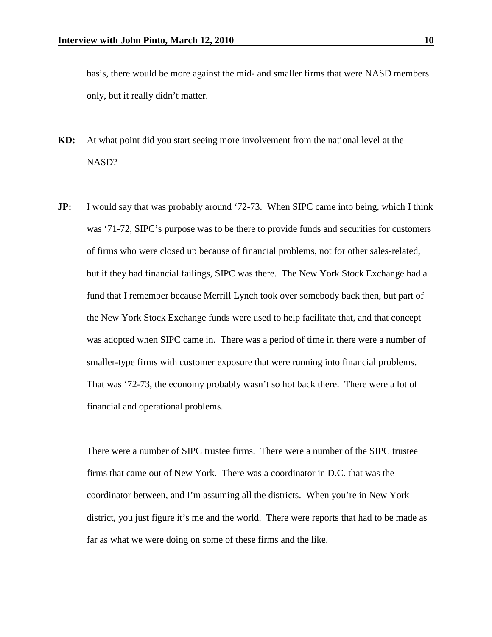basis, there would be more against the mid- and smaller firms that were NASD members only, but it really didn't matter.

- **KD:** At what point did you start seeing more involvement from the national level at the NASD?
- **JP:** I would say that was probably around '72-73. When SIPC came into being, which I think was '71-72, SIPC's purpose was to be there to provide funds and securities for customers of firms who were closed up because of financial problems, not for other sales-related, but if they had financial failings, SIPC was there. The New York Stock Exchange had a fund that I remember because Merrill Lynch took over somebody back then, but part of the New York Stock Exchange funds were used to help facilitate that, and that concept was adopted when SIPC came in. There was a period of time in there were a number of smaller-type firms with customer exposure that were running into financial problems. That was '72-73, the economy probably wasn't so hot back there. There were a lot of financial and operational problems.

There were a number of SIPC trustee firms. There were a number of the SIPC trustee firms that came out of New York. There was a coordinator in D.C. that was the coordinator between, and I'm assuming all the districts. When you're in New York district, you just figure it's me and the world. There were reports that had to be made as far as what we were doing on some of these firms and the like.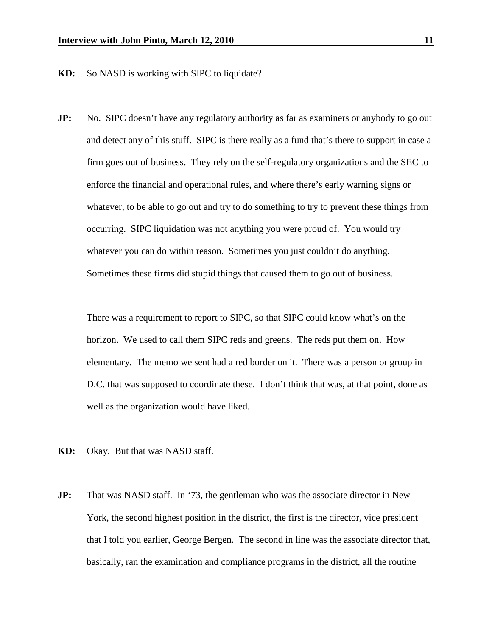**KD:** So NASD is working with SIPC to liquidate?

**JP:** No. SIPC doesn't have any regulatory authority as far as examiners or anybody to go out and detect any of this stuff. SIPC is there really as a fund that's there to support in case a firm goes out of business. They rely on the self-regulatory organizations and the SEC to enforce the financial and operational rules, and where there's early warning signs or whatever, to be able to go out and try to do something to try to prevent these things from occurring. SIPC liquidation was not anything you were proud of. You would try whatever you can do within reason. Sometimes you just couldn't do anything. Sometimes these firms did stupid things that caused them to go out of business.

There was a requirement to report to SIPC, so that SIPC could know what's on the horizon. We used to call them SIPC reds and greens. The reds put them on. How elementary. The memo we sent had a red border on it. There was a person or group in D.C. that was supposed to coordinate these. I don't think that was, at that point, done as well as the organization would have liked.

- **KD:** Okay. But that was NASD staff.
- **JP:** That was NASD staff. In '73, the gentleman who was the associate director in New York, the second highest position in the district, the first is the director, vice president that I told you earlier, George Bergen. The second in line was the associate director that, basically, ran the examination and compliance programs in the district, all the routine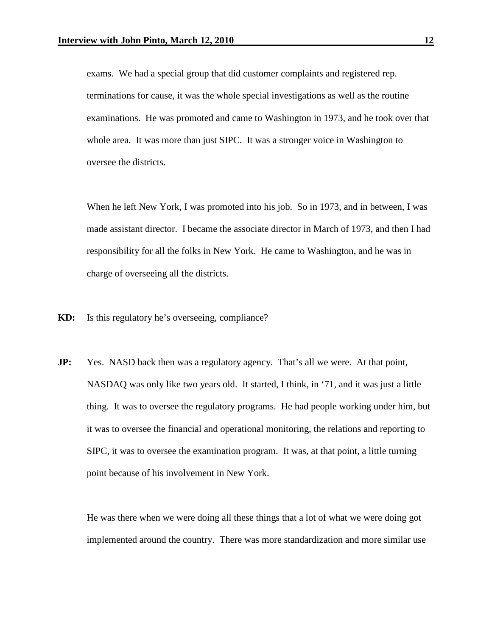exams. We had a special group that did customer complaints and registered rep. terminations for cause, it was the whole special investigations as well as the routine examinations. He was promoted and came to Washington in 1973, and he took over that whole area. It was more than just SIPC. It was a stronger voice in Washington to oversee the districts.

When he left New York, I was promoted into his job. So in 1973, and in between, I was made assistant director. I became the associate director in March of 1973, and then I had responsibility for all the folks in New York. He came to Washington, and he was in charge of overseeing all the districts.

- **KD:** Is this regulatory he's overseeing, compliance?
- **JP:** Yes. NASD back then was a regulatory agency. That's all we were. At that point, NASDAQ was only like two years old. It started, I think, in '71, and it was just a little thing. It was to oversee the regulatory programs. He had people working under him, but it was to oversee the financial and operational monitoring, the relations and reporting to SIPC, it was to oversee the examination program. It was, at that point, a little turning point because of his involvement in New York.

He was there when we were doing all these things that a lot of what we were doing got implemented around the country. There was more standardization and more similar use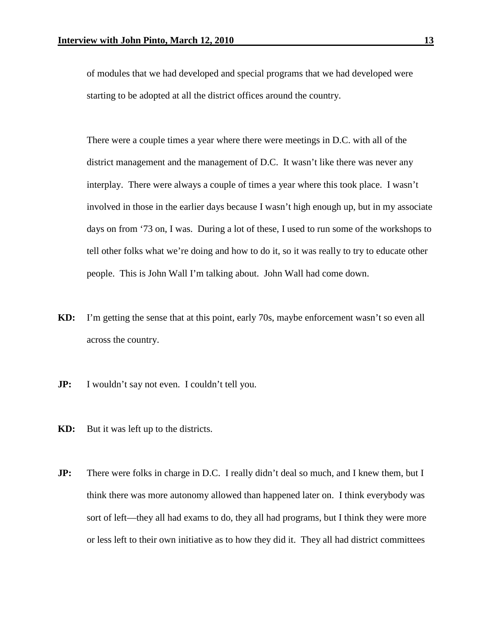of modules that we had developed and special programs that we had developed were starting to be adopted at all the district offices around the country.

There were a couple times a year where there were meetings in D.C. with all of the district management and the management of D.C. It wasn't like there was never any interplay. There were always a couple of times a year where this took place. I wasn't involved in those in the earlier days because I wasn't high enough up, but in my associate days on from '73 on, I was. During a lot of these, I used to run some of the workshops to tell other folks what we're doing and how to do it, so it was really to try to educate other people. This is John Wall I'm talking about. John Wall had come down.

- **KD:** I'm getting the sense that at this point, early 70s, maybe enforcement wasn't so even all across the country.
- **JP:** I wouldn't say not even. I couldn't tell you.
- **KD:** But it was left up to the districts.
- **JP:** There were folks in charge in D.C. I really didn't deal so much, and I knew them, but I think there was more autonomy allowed than happened later on. I think everybody was sort of left—they all had exams to do, they all had programs, but I think they were more or less left to their own initiative as to how they did it. They all had district committees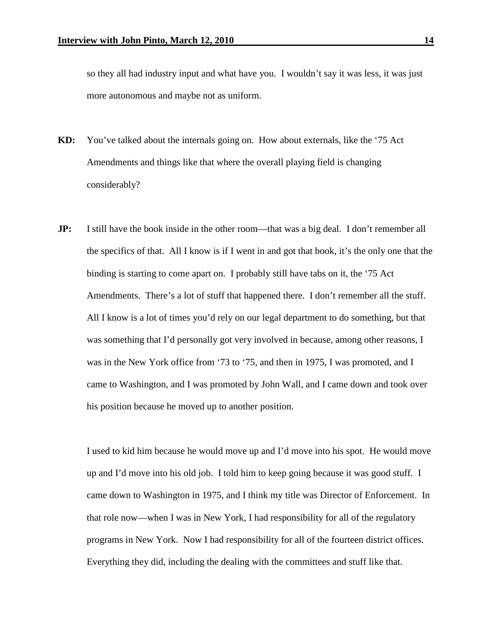so they all had industry input and what have you. I wouldn't say it was less, it was just more autonomous and maybe not as uniform.

- **KD:** You've talked about the internals going on. How about externals, like the '75 Act Amendments and things like that where the overall playing field is changing considerably?
- **JP:** I still have the book inside in the other room—that was a big deal. I don't remember all the specifics of that. All I know is if I went in and got that book, it's the only one that the binding is starting to come apart on. I probably still have tabs on it, the '75 Act Amendments. There's a lot of stuff that happened there. I don't remember all the stuff. All I know is a lot of times you'd rely on our legal department to do something, but that was something that I'd personally got very involved in because, among other reasons, I was in the New York office from '73 to '75, and then in 1975, I was promoted, and I came to Washington, and I was promoted by John Wall, and I came down and took over his position because he moved up to another position.

I used to kid him because he would move up and I'd move into his spot. He would move up and I'd move into his old job. I told him to keep going because it was good stuff. I came down to Washington in 1975, and I think my title was Director of Enforcement. In that role now—when I was in New York, I had responsibility for all of the regulatory programs in New York. Now I had responsibility for all of the fourteen district offices. Everything they did, including the dealing with the committees and stuff like that.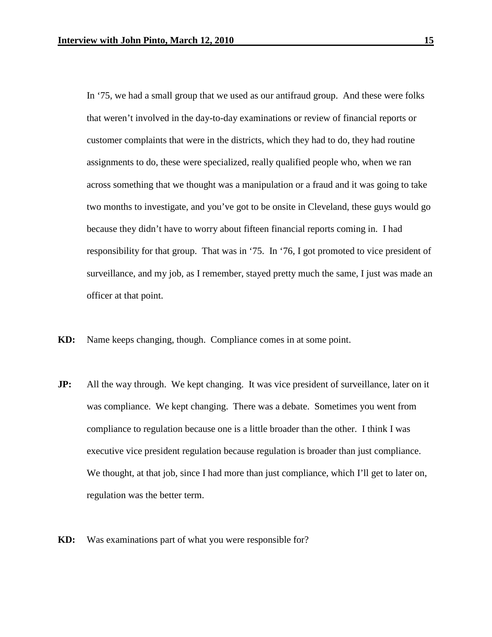In '75, we had a small group that we used as our antifraud group. And these were folks that weren't involved in the day-to-day examinations or review of financial reports or customer complaints that were in the districts, which they had to do, they had routine assignments to do, these were specialized, really qualified people who, when we ran across something that we thought was a manipulation or a fraud and it was going to take two months to investigate, and you've got to be onsite in Cleveland, these guys would go because they didn't have to worry about fifteen financial reports coming in. I had responsibility for that group. That was in '75. In '76, I got promoted to vice president of surveillance, and my job, as I remember, stayed pretty much the same, I just was made an officer at that point.

- **KD:** Name keeps changing, though. Compliance comes in at some point.
- **JP:** All the way through. We kept changing. It was vice president of surveillance, later on it was compliance. We kept changing. There was a debate. Sometimes you went from compliance to regulation because one is a little broader than the other. I think I was executive vice president regulation because regulation is broader than just compliance. We thought, at that job, since I had more than just compliance, which I'll get to later on, regulation was the better term.
- **KD:** Was examinations part of what you were responsible for?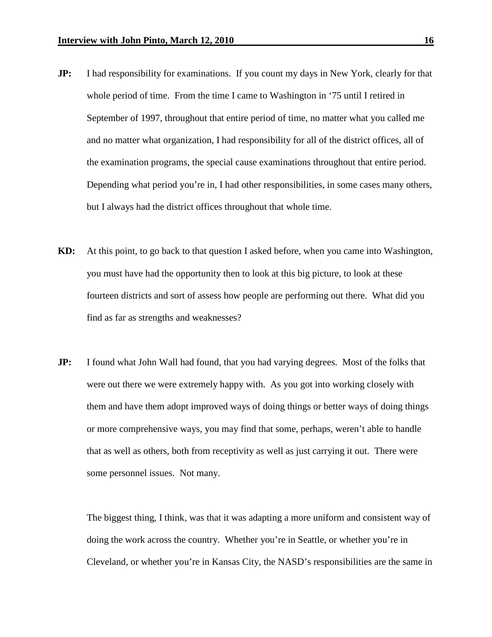- **JP:** I had responsibility for examinations. If you count my days in New York, clearly for that whole period of time. From the time I came to Washington in '75 until I retired in September of 1997, throughout that entire period of time, no matter what you called me and no matter what organization, I had responsibility for all of the district offices, all of the examination programs, the special cause examinations throughout that entire period. Depending what period you're in, I had other responsibilities, in some cases many others, but I always had the district offices throughout that whole time.
- **KD:** At this point, to go back to that question I asked before, when you came into Washington, you must have had the opportunity then to look at this big picture, to look at these fourteen districts and sort of assess how people are performing out there. What did you find as far as strengths and weaknesses?
- **JP:** I found what John Wall had found, that you had varying degrees. Most of the folks that were out there we were extremely happy with. As you got into working closely with them and have them adopt improved ways of doing things or better ways of doing things or more comprehensive ways, you may find that some, perhaps, weren't able to handle that as well as others, both from receptivity as well as just carrying it out. There were some personnel issues. Not many.

The biggest thing, I think, was that it was adapting a more uniform and consistent way of doing the work across the country. Whether you're in Seattle, or whether you're in Cleveland, or whether you're in Kansas City, the NASD's responsibilities are the same in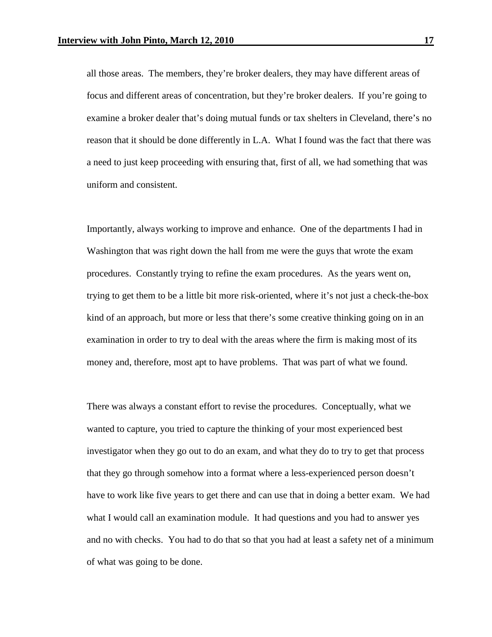all those areas. The members, they're broker dealers, they may have different areas of focus and different areas of concentration, but they're broker dealers. If you're going to examine a broker dealer that's doing mutual funds or tax shelters in Cleveland, there's no reason that it should be done differently in L.A. What I found was the fact that there was a need to just keep proceeding with ensuring that, first of all, we had something that was uniform and consistent.

Importantly, always working to improve and enhance. One of the departments I had in Washington that was right down the hall from me were the guys that wrote the exam procedures. Constantly trying to refine the exam procedures. As the years went on, trying to get them to be a little bit more risk-oriented, where it's not just a check-the-box kind of an approach, but more or less that there's some creative thinking going on in an examination in order to try to deal with the areas where the firm is making most of its money and, therefore, most apt to have problems. That was part of what we found.

There was always a constant effort to revise the procedures. Conceptually, what we wanted to capture, you tried to capture the thinking of your most experienced best investigator when they go out to do an exam, and what they do to try to get that process that they go through somehow into a format where a less-experienced person doesn't have to work like five years to get there and can use that in doing a better exam. We had what I would call an examination module. It had questions and you had to answer yes and no with checks. You had to do that so that you had at least a safety net of a minimum of what was going to be done.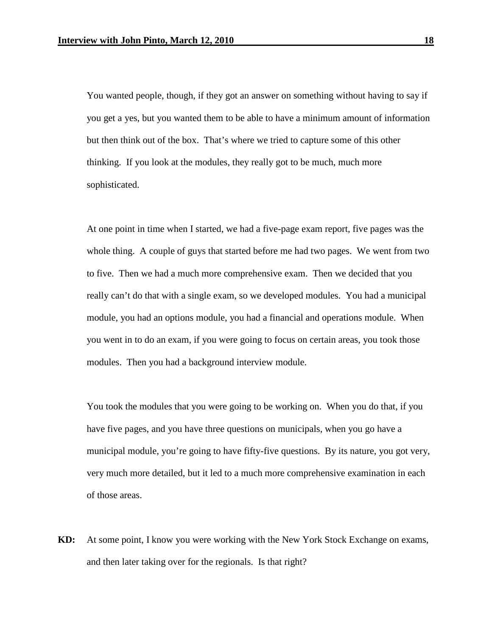You wanted people, though, if they got an answer on something without having to say if you get a yes, but you wanted them to be able to have a minimum amount of information but then think out of the box. That's where we tried to capture some of this other thinking. If you look at the modules, they really got to be much, much more sophisticated.

At one point in time when I started, we had a five-page exam report, five pages was the whole thing. A couple of guys that started before me had two pages. We went from two to five. Then we had a much more comprehensive exam. Then we decided that you really can't do that with a single exam, so we developed modules. You had a municipal module, you had an options module, you had a financial and operations module. When you went in to do an exam, if you were going to focus on certain areas, you took those modules. Then you had a background interview module.

You took the modules that you were going to be working on. When you do that, if you have five pages, and you have three questions on municipals, when you go have a municipal module, you're going to have fifty-five questions. By its nature, you got very, very much more detailed, but it led to a much more comprehensive examination in each of those areas.

**KD:** At some point, I know you were working with the New York Stock Exchange on exams, and then later taking over for the regionals. Is that right?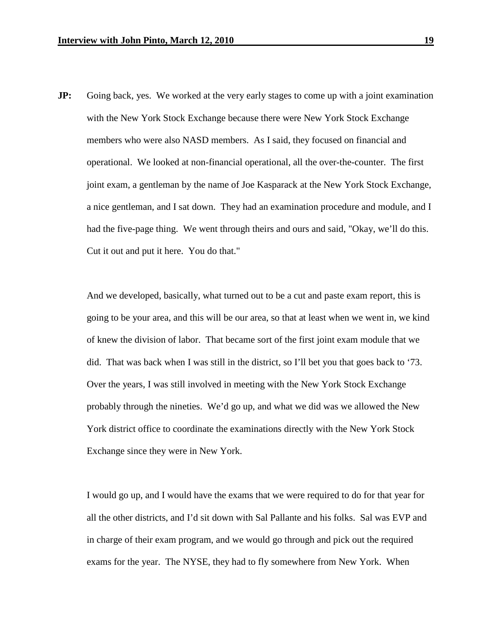**JP:** Going back, yes. We worked at the very early stages to come up with a joint examination with the New York Stock Exchange because there were New York Stock Exchange members who were also NASD members. As I said, they focused on financial and operational. We looked at non-financial operational, all the over-the-counter. The first joint exam, a gentleman by the name of Joe Kasparack at the New York Stock Exchange, a nice gentleman, and I sat down. They had an examination procedure and module, and I had the five-page thing. We went through theirs and ours and said, "Okay, we'll do this. Cut it out and put it here. You do that."

And we developed, basically, what turned out to be a cut and paste exam report, this is going to be your area, and this will be our area, so that at least when we went in, we kind of knew the division of labor. That became sort of the first joint exam module that we did. That was back when I was still in the district, so I'll bet you that goes back to '73. Over the years, I was still involved in meeting with the New York Stock Exchange probably through the nineties. We'd go up, and what we did was we allowed the New York district office to coordinate the examinations directly with the New York Stock Exchange since they were in New York.

I would go up, and I would have the exams that we were required to do for that year for all the other districts, and I'd sit down with Sal Pallante and his folks. Sal was EVP and in charge of their exam program, and we would go through and pick out the required exams for the year. The NYSE, they had to fly somewhere from New York. When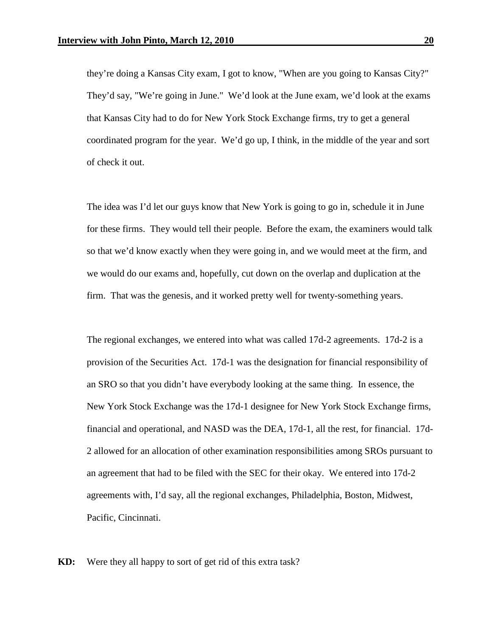they're doing a Kansas City exam, I got to know, "When are you going to Kansas City?" They'd say, "We're going in June." We'd look at the June exam, we'd look at the exams that Kansas City had to do for New York Stock Exchange firms, try to get a general coordinated program for the year. We'd go up, I think, in the middle of the year and sort of check it out.

The idea was I'd let our guys know that New York is going to go in, schedule it in June for these firms. They would tell their people. Before the exam, the examiners would talk so that we'd know exactly when they were going in, and we would meet at the firm, and we would do our exams and, hopefully, cut down on the overlap and duplication at the firm. That was the genesis, and it worked pretty well for twenty-something years.

The regional exchanges, we entered into what was called 17d-2 agreements. 17d-2 is a provision of the Securities Act. 17d-1 was the designation for financial responsibility of an SRO so that you didn't have everybody looking at the same thing. In essence, the New York Stock Exchange was the 17d-1 designee for New York Stock Exchange firms, financial and operational, and NASD was the DEA, 17d-1, all the rest, for financial. 17d-2 allowed for an allocation of other examination responsibilities among SROs pursuant to an agreement that had to be filed with the SEC for their okay. We entered into 17d-2 agreements with, I'd say, all the regional exchanges, Philadelphia, Boston, Midwest, Pacific, Cincinnati.

**KD:** Were they all happy to sort of get rid of this extra task?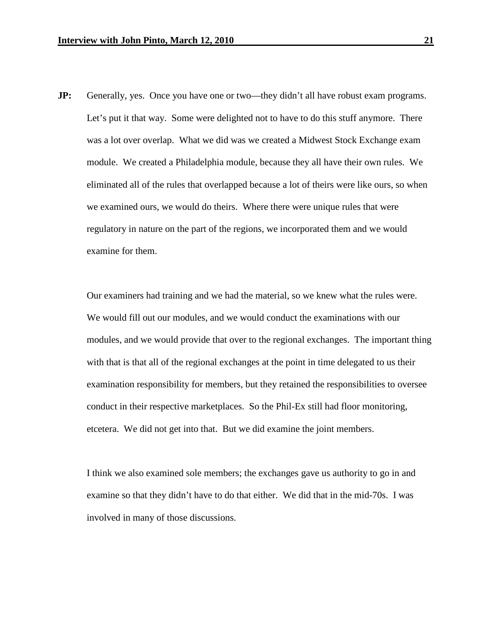**JP:** Generally, yes. Once you have one or two—they didn't all have robust exam programs. Let's put it that way. Some were delighted not to have to do this stuff anymore. There was a lot over overlap. What we did was we created a Midwest Stock Exchange exam module. We created a Philadelphia module, because they all have their own rules. We eliminated all of the rules that overlapped because a lot of theirs were like ours, so when we examined ours, we would do theirs. Where there were unique rules that were regulatory in nature on the part of the regions, we incorporated them and we would examine for them.

Our examiners had training and we had the material, so we knew what the rules were. We would fill out our modules, and we would conduct the examinations with our modules, and we would provide that over to the regional exchanges. The important thing with that is that all of the regional exchanges at the point in time delegated to us their examination responsibility for members, but they retained the responsibilities to oversee conduct in their respective marketplaces. So the Phil-Ex still had floor monitoring, etcetera. We did not get into that. But we did examine the joint members.

I think we also examined sole members; the exchanges gave us authority to go in and examine so that they didn't have to do that either. We did that in the mid-70s. I was involved in many of those discussions.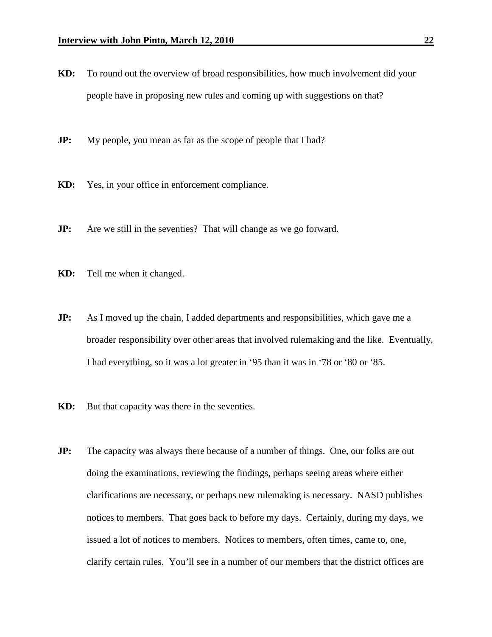- **KD:** To round out the overview of broad responsibilities, how much involvement did your people have in proposing new rules and coming up with suggestions on that?
- **JP:** My people, you mean as far as the scope of people that I had?
- **KD:** Yes, in your office in enforcement compliance.
- **JP:** Are we still in the seventies? That will change as we go forward.
- **KD:** Tell me when it changed.
- **JP:** As I moved up the chain, I added departments and responsibilities, which gave me a broader responsibility over other areas that involved rulemaking and the like. Eventually, I had everything, so it was a lot greater in '95 than it was in '78 or '80 or '85.
- **KD:** But that capacity was there in the seventies.
- **JP:** The capacity was always there because of a number of things. One, our folks are out doing the examinations, reviewing the findings, perhaps seeing areas where either clarifications are necessary, or perhaps new rulemaking is necessary. NASD publishes notices to members. That goes back to before my days. Certainly, during my days, we issued a lot of notices to members. Notices to members, often times, came to, one, clarify certain rules. You'll see in a number of our members that the district offices are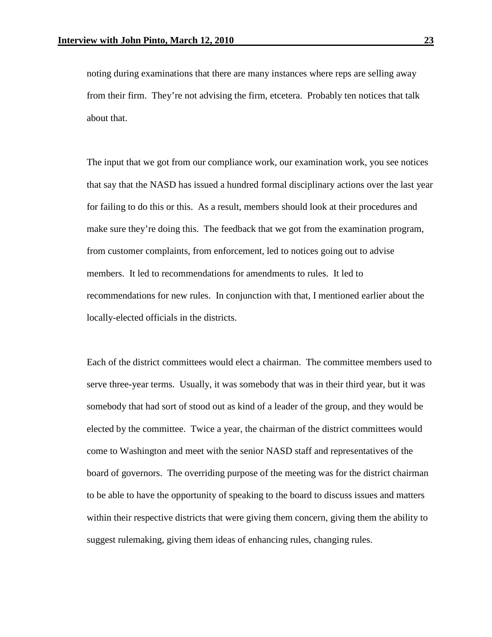noting during examinations that there are many instances where reps are selling away from their firm. They're not advising the firm, etcetera. Probably ten notices that talk about that.

The input that we got from our compliance work, our examination work, you see notices that say that the NASD has issued a hundred formal disciplinary actions over the last year for failing to do this or this. As a result, members should look at their procedures and make sure they're doing this. The feedback that we got from the examination program, from customer complaints, from enforcement, led to notices going out to advise members. It led to recommendations for amendments to rules. It led to recommendations for new rules. In conjunction with that, I mentioned earlier about the locally-elected officials in the districts.

Each of the district committees would elect a chairman. The committee members used to serve three-year terms. Usually, it was somebody that was in their third year, but it was somebody that had sort of stood out as kind of a leader of the group, and they would be elected by the committee. Twice a year, the chairman of the district committees would come to Washington and meet with the senior NASD staff and representatives of the board of governors. The overriding purpose of the meeting was for the district chairman to be able to have the opportunity of speaking to the board to discuss issues and matters within their respective districts that were giving them concern, giving them the ability to suggest rulemaking, giving them ideas of enhancing rules, changing rules.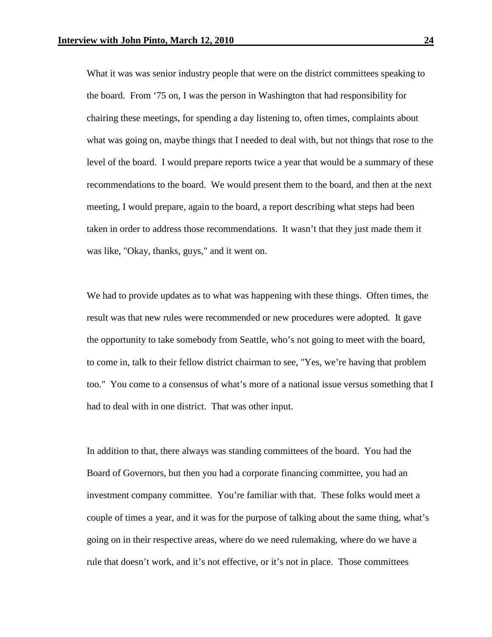What it was was senior industry people that were on the district committees speaking to the board. From '75 on, I was the person in Washington that had responsibility for chairing these meetings, for spending a day listening to, often times, complaints about what was going on, maybe things that I needed to deal with, but not things that rose to the level of the board. I would prepare reports twice a year that would be a summary of these recommendations to the board. We would present them to the board, and then at the next meeting, I would prepare, again to the board, a report describing what steps had been taken in order to address those recommendations. It wasn't that they just made them it was like, "Okay, thanks, guys," and it went on.

We had to provide updates as to what was happening with these things. Often times, the result was that new rules were recommended or new procedures were adopted. It gave the opportunity to take somebody from Seattle, who's not going to meet with the board, to come in, talk to their fellow district chairman to see, "Yes, we're having that problem too." You come to a consensus of what's more of a national issue versus something that I had to deal with in one district. That was other input.

In addition to that, there always was standing committees of the board. You had the Board of Governors, but then you had a corporate financing committee, you had an investment company committee. You're familiar with that. These folks would meet a couple of times a year, and it was for the purpose of talking about the same thing, what's going on in their respective areas, where do we need rulemaking, where do we have a rule that doesn't work, and it's not effective, or it's not in place. Those committees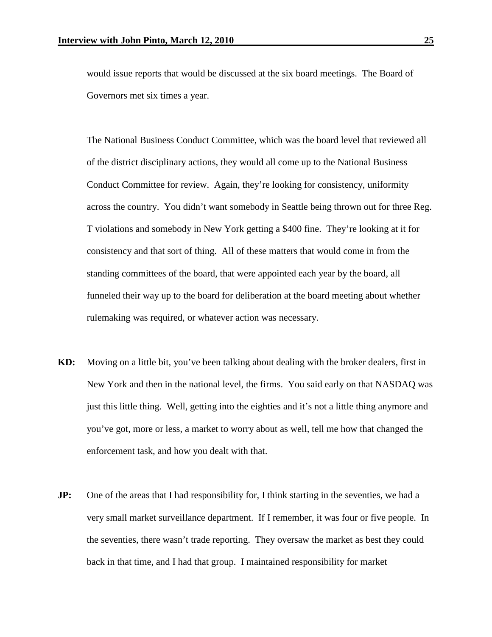would issue reports that would be discussed at the six board meetings. The Board of Governors met six times a year.

The National Business Conduct Committee, which was the board level that reviewed all of the district disciplinary actions, they would all come up to the National Business Conduct Committee for review. Again, they're looking for consistency, uniformity across the country. You didn't want somebody in Seattle being thrown out for three Reg. T violations and somebody in New York getting a \$400 fine. They're looking at it for consistency and that sort of thing. All of these matters that would come in from the standing committees of the board, that were appointed each year by the board, all funneled their way up to the board for deliberation at the board meeting about whether rulemaking was required, or whatever action was necessary.

- **KD:** Moving on a little bit, you've been talking about dealing with the broker dealers, first in New York and then in the national level, the firms. You said early on that NASDAQ was just this little thing. Well, getting into the eighties and it's not a little thing anymore and you've got, more or less, a market to worry about as well, tell me how that changed the enforcement task, and how you dealt with that.
- **JP:** One of the areas that I had responsibility for, I think starting in the seventies, we had a very small market surveillance department. If I remember, it was four or five people. In the seventies, there wasn't trade reporting. They oversaw the market as best they could back in that time, and I had that group. I maintained responsibility for market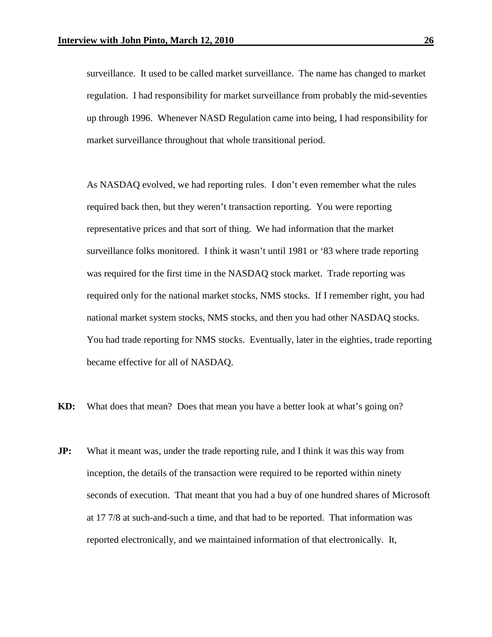surveillance. It used to be called market surveillance. The name has changed to market regulation. I had responsibility for market surveillance from probably the mid-seventies up through 1996. Whenever NASD Regulation came into being, I had responsibility for market surveillance throughout that whole transitional period.

As NASDAQ evolved, we had reporting rules. I don't even remember what the rules required back then, but they weren't transaction reporting. You were reporting representative prices and that sort of thing. We had information that the market surveillance folks monitored. I think it wasn't until 1981 or '83 where trade reporting was required for the first time in the NASDAQ stock market. Trade reporting was required only for the national market stocks, NMS stocks. If I remember right, you had national market system stocks, NMS stocks, and then you had other NASDAQ stocks. You had trade reporting for NMS stocks. Eventually, later in the eighties, trade reporting became effective for all of NASDAQ.

**KD:** What does that mean? Does that mean you have a better look at what's going on?

**JP:** What it meant was, under the trade reporting rule, and I think it was this way from inception, the details of the transaction were required to be reported within ninety seconds of execution. That meant that you had a buy of one hundred shares of Microsoft at 17 7/8 at such-and-such a time, and that had to be reported. That information was reported electronically, and we maintained information of that electronically. It,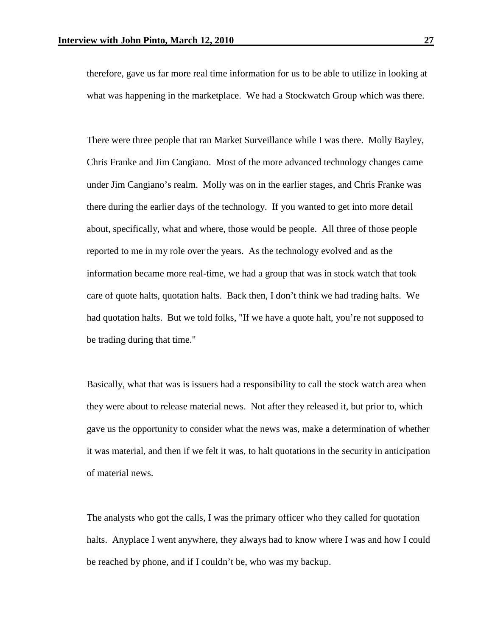therefore, gave us far more real time information for us to be able to utilize in looking at what was happening in the marketplace. We had a Stockwatch Group which was there.

There were three people that ran Market Surveillance while I was there. Molly Bayley, Chris Franke and Jim Cangiano. Most of the more advanced technology changes came under Jim Cangiano's realm. Molly was on in the earlier stages, and Chris Franke was there during the earlier days of the technology. If you wanted to get into more detail about, specifically, what and where, those would be people. All three of those people reported to me in my role over the years. As the technology evolved and as the information became more real-time, we had a group that was in stock watch that took care of quote halts, quotation halts. Back then, I don't think we had trading halts. We had quotation halts. But we told folks, "If we have a quote halt, you're not supposed to be trading during that time."

Basically, what that was is issuers had a responsibility to call the stock watch area when they were about to release material news. Not after they released it, but prior to, which gave us the opportunity to consider what the news was, make a determination of whether it was material, and then if we felt it was, to halt quotations in the security in anticipation of material news.

The analysts who got the calls, I was the primary officer who they called for quotation halts. Anyplace I went anywhere, they always had to know where I was and how I could be reached by phone, and if I couldn't be, who was my backup.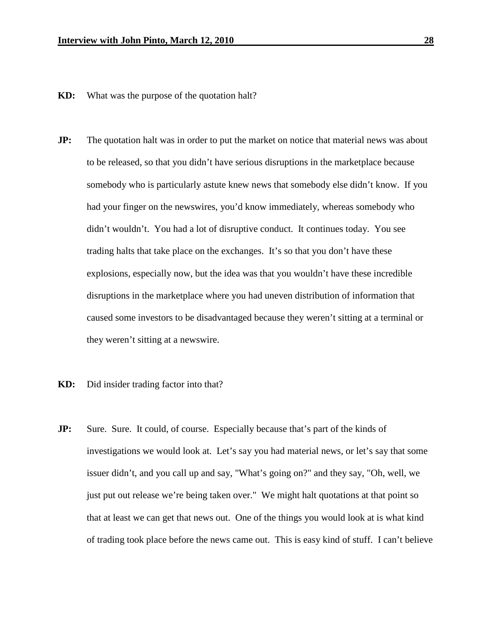- **KD:** What was the purpose of the quotation halt?
- **JP:** The quotation halt was in order to put the market on notice that material news was about to be released, so that you didn't have serious disruptions in the marketplace because somebody who is particularly astute knew news that somebody else didn't know. If you had your finger on the newswires, you'd know immediately, whereas somebody who didn't wouldn't. You had a lot of disruptive conduct. It continues today. You see trading halts that take place on the exchanges. It's so that you don't have these explosions, especially now, but the idea was that you wouldn't have these incredible disruptions in the marketplace where you had uneven distribution of information that caused some investors to be disadvantaged because they weren't sitting at a terminal or they weren't sitting at a newswire.
- **KD:** Did insider trading factor into that?
- **JP:** Sure. Sure. It could, of course. Especially because that's part of the kinds of investigations we would look at. Let's say you had material news, or let's say that some issuer didn't, and you call up and say, "What's going on?" and they say, "Oh, well, we just put out release we're being taken over." We might halt quotations at that point so that at least we can get that news out. One of the things you would look at is what kind of trading took place before the news came out. This is easy kind of stuff. I can't believe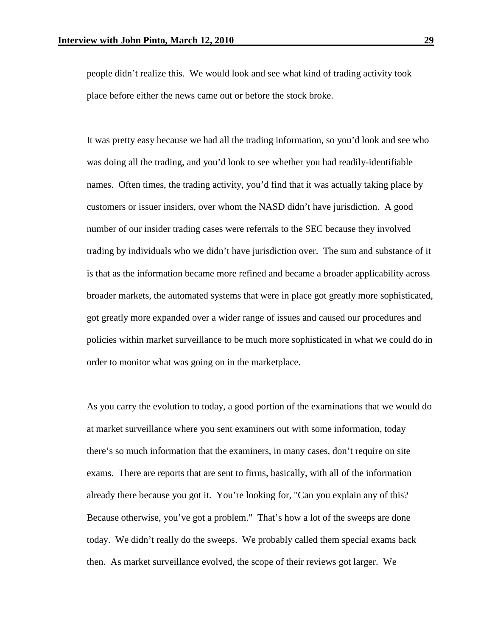people didn't realize this. We would look and see what kind of trading activity took place before either the news came out or before the stock broke.

It was pretty easy because we had all the trading information, so you'd look and see who was doing all the trading, and you'd look to see whether you had readily-identifiable names. Often times, the trading activity, you'd find that it was actually taking place by customers or issuer insiders, over whom the NASD didn't have jurisdiction. A good number of our insider trading cases were referrals to the SEC because they involved trading by individuals who we didn't have jurisdiction over. The sum and substance of it is that as the information became more refined and became a broader applicability across broader markets, the automated systems that were in place got greatly more sophisticated, got greatly more expanded over a wider range of issues and caused our procedures and policies within market surveillance to be much more sophisticated in what we could do in order to monitor what was going on in the marketplace.

As you carry the evolution to today, a good portion of the examinations that we would do at market surveillance where you sent examiners out with some information, today there's so much information that the examiners, in many cases, don't require on site exams. There are reports that are sent to firms, basically, with all of the information already there because you got it. You're looking for, "Can you explain any of this? Because otherwise, you've got a problem." That's how a lot of the sweeps are done today. We didn't really do the sweeps. We probably called them special exams back then. As market surveillance evolved, the scope of their reviews got larger. We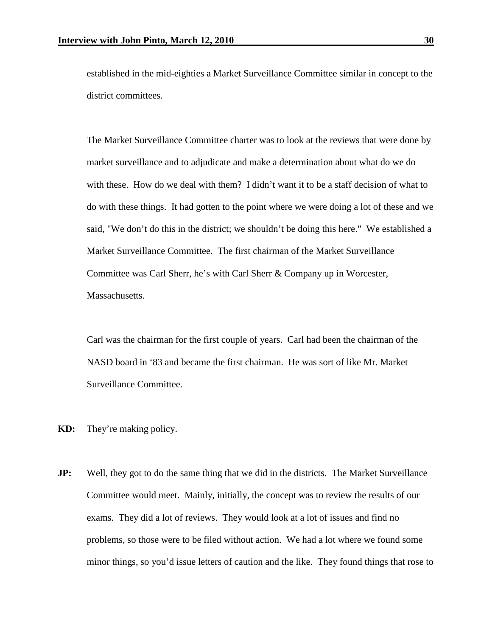established in the mid-eighties a Market Surveillance Committee similar in concept to the district committees.

The Market Surveillance Committee charter was to look at the reviews that were done by market surveillance and to adjudicate and make a determination about what do we do with these. How do we deal with them? I didn't want it to be a staff decision of what to do with these things. It had gotten to the point where we were doing a lot of these and we said, "We don't do this in the district; we shouldn't be doing this here." We established a Market Surveillance Committee. The first chairman of the Market Surveillance Committee was Carl Sherr, he's with Carl Sherr & Company up in Worcester, Massachusetts.

Carl was the chairman for the first couple of years. Carl had been the chairman of the NASD board in '83 and became the first chairman. He was sort of like Mr. Market Surveillance Committee.

- **KD:** They're making policy.
- **JP:** Well, they got to do the same thing that we did in the districts. The Market Surveillance Committee would meet. Mainly, initially, the concept was to review the results of our exams. They did a lot of reviews. They would look at a lot of issues and find no problems, so those were to be filed without action. We had a lot where we found some minor things, so you'd issue letters of caution and the like. They found things that rose to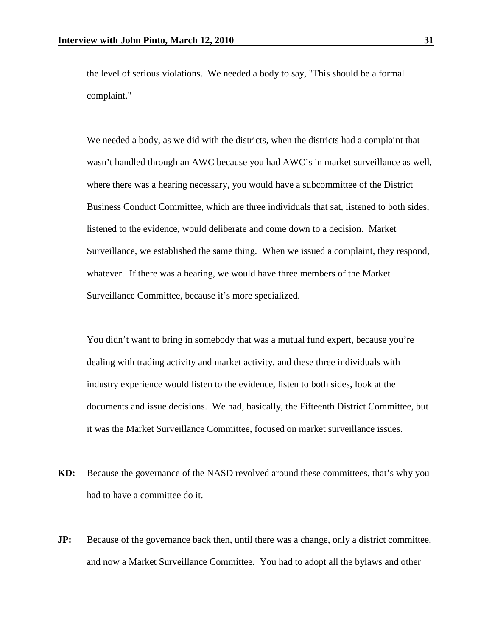the level of serious violations. We needed a body to say, "This should be a formal complaint."

We needed a body, as we did with the districts, when the districts had a complaint that wasn't handled through an AWC because you had AWC's in market surveillance as well, where there was a hearing necessary, you would have a subcommittee of the District Business Conduct Committee, which are three individuals that sat, listened to both sides, listened to the evidence, would deliberate and come down to a decision. Market Surveillance, we established the same thing. When we issued a complaint, they respond, whatever. If there was a hearing, we would have three members of the Market Surveillance Committee, because it's more specialized.

You didn't want to bring in somebody that was a mutual fund expert, because you're dealing with trading activity and market activity, and these three individuals with industry experience would listen to the evidence, listen to both sides, look at the documents and issue decisions. We had, basically, the Fifteenth District Committee, but it was the Market Surveillance Committee, focused on market surveillance issues.

- **KD:** Because the governance of the NASD revolved around these committees, that's why you had to have a committee do it.
- **JP:** Because of the governance back then, until there was a change, only a district committee, and now a Market Surveillance Committee. You had to adopt all the bylaws and other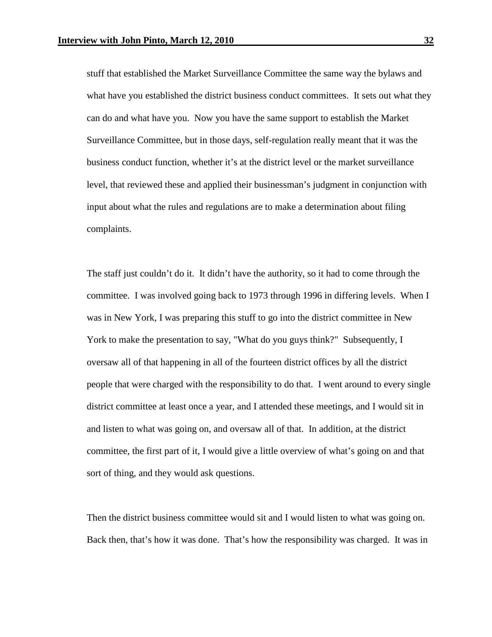stuff that established the Market Surveillance Committee the same way the bylaws and what have you established the district business conduct committees. It sets out what they can do and what have you. Now you have the same support to establish the Market Surveillance Committee, but in those days, self-regulation really meant that it was the business conduct function, whether it's at the district level or the market surveillance level, that reviewed these and applied their businessman's judgment in conjunction with input about what the rules and regulations are to make a determination about filing complaints.

The staff just couldn't do it. It didn't have the authority, so it had to come through the committee. I was involved going back to 1973 through 1996 in differing levels. When I was in New York, I was preparing this stuff to go into the district committee in New York to make the presentation to say, "What do you guys think?" Subsequently, I oversaw all of that happening in all of the fourteen district offices by all the district people that were charged with the responsibility to do that. I went around to every single district committee at least once a year, and I attended these meetings, and I would sit in and listen to what was going on, and oversaw all of that. In addition, at the district committee, the first part of it, I would give a little overview of what's going on and that sort of thing, and they would ask questions.

Then the district business committee would sit and I would listen to what was going on. Back then, that's how it was done. That's how the responsibility was charged. It was in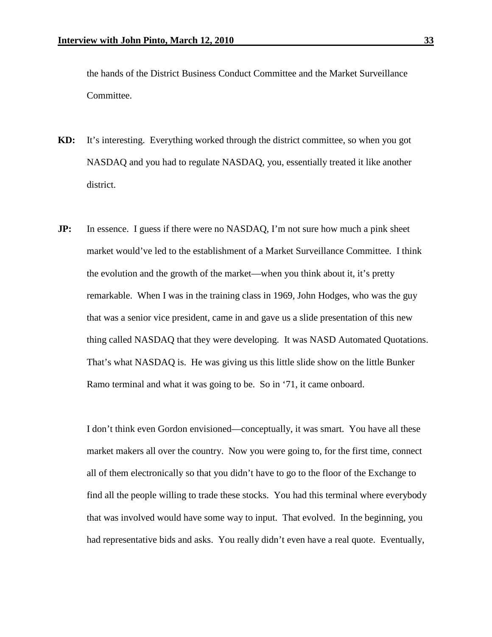the hands of the District Business Conduct Committee and the Market Surveillance Committee.

- **KD:** It's interesting. Everything worked through the district committee, so when you got NASDAQ and you had to regulate NASDAQ, you, essentially treated it like another district.
- **JP:** In essence. I guess if there were no NASDAQ, I'm not sure how much a pink sheet market would've led to the establishment of a Market Surveillance Committee. I think the evolution and the growth of the market—when you think about it, it's pretty remarkable. When I was in the training class in 1969, John Hodges, who was the guy that was a senior vice president, came in and gave us a slide presentation of this new thing called NASDAQ that they were developing. It was NASD Automated Quotations. That's what NASDAQ is. He was giving us this little slide show on the little Bunker Ramo terminal and what it was going to be. So in '71, it came onboard.

I don't think even Gordon envisioned—conceptually, it was smart. You have all these market makers all over the country. Now you were going to, for the first time, connect all of them electronically so that you didn't have to go to the floor of the Exchange to find all the people willing to trade these stocks. You had this terminal where everybody that was involved would have some way to input. That evolved. In the beginning, you had representative bids and asks. You really didn't even have a real quote. Eventually,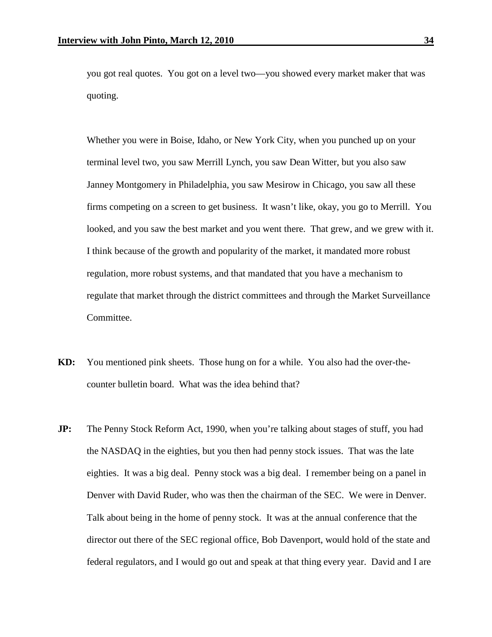you got real quotes. You got on a level two—you showed every market maker that was quoting.

Whether you were in Boise, Idaho, or New York City, when you punched up on your terminal level two, you saw Merrill Lynch, you saw Dean Witter, but you also saw Janney Montgomery in Philadelphia, you saw Mesirow in Chicago, you saw all these firms competing on a screen to get business. It wasn't like, okay, you go to Merrill. You looked, and you saw the best market and you went there. That grew, and we grew with it. I think because of the growth and popularity of the market, it mandated more robust regulation, more robust systems, and that mandated that you have a mechanism to regulate that market through the district committees and through the Market Surveillance Committee.

- **KD:** You mentioned pink sheets. Those hung on for a while. You also had the over-thecounter bulletin board. What was the idea behind that?
- **JP:** The Penny Stock Reform Act, 1990, when you're talking about stages of stuff, you had the NASDAQ in the eighties, but you then had penny stock issues. That was the late eighties. It was a big deal. Penny stock was a big deal. I remember being on a panel in Denver with David Ruder, who was then the chairman of the SEC. We were in Denver. Talk about being in the home of penny stock. It was at the annual conference that the director out there of the SEC regional office, Bob Davenport, would hold of the state and federal regulators, and I would go out and speak at that thing every year. David and I are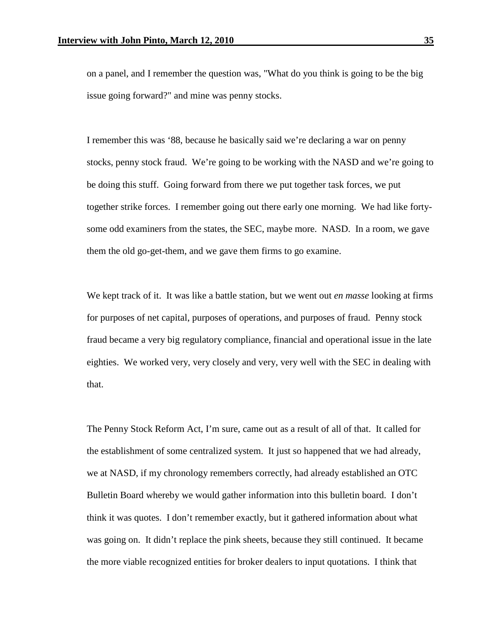on a panel, and I remember the question was, "What do you think is going to be the big issue going forward?" and mine was penny stocks.

I remember this was '88, because he basically said we're declaring a war on penny stocks, penny stock fraud. We're going to be working with the NASD and we're going to be doing this stuff. Going forward from there we put together task forces, we put together strike forces. I remember going out there early one morning. We had like fortysome odd examiners from the states, the SEC, maybe more. NASD. In a room, we gave them the old go-get-them, and we gave them firms to go examine.

We kept track of it. It was like a battle station, but we went out *en masse* looking at firms for purposes of net capital, purposes of operations, and purposes of fraud. Penny stock fraud became a very big regulatory compliance, financial and operational issue in the late eighties. We worked very, very closely and very, very well with the SEC in dealing with that.

The Penny Stock Reform Act, I'm sure, came out as a result of all of that. It called for the establishment of some centralized system. It just so happened that we had already, we at NASD, if my chronology remembers correctly, had already established an OTC Bulletin Board whereby we would gather information into this bulletin board. I don't think it was quotes. I don't remember exactly, but it gathered information about what was going on. It didn't replace the pink sheets, because they still continued. It became the more viable recognized entities for broker dealers to input quotations. I think that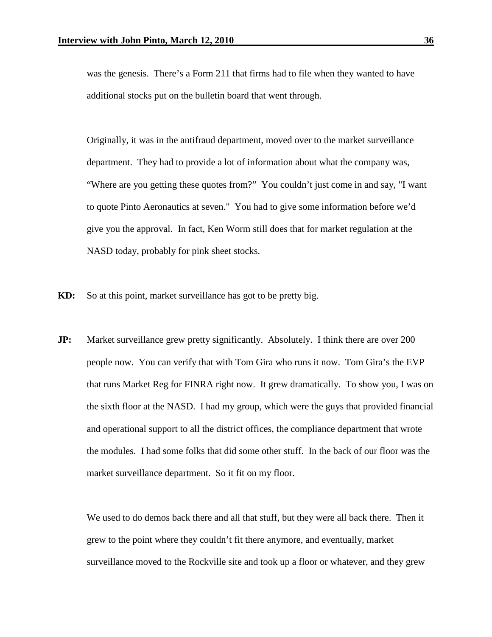was the genesis. There's a Form 211 that firms had to file when they wanted to have additional stocks put on the bulletin board that went through.

Originally, it was in the antifraud department, moved over to the market surveillance department. They had to provide a lot of information about what the company was, "Where are you getting these quotes from?" You couldn't just come in and say, "I want to quote Pinto Aeronautics at seven." You had to give some information before we'd give you the approval. In fact, Ken Worm still does that for market regulation at the NASD today, probably for pink sheet stocks.

- **KD:** So at this point, market surveillance has got to be pretty big.
- **JP:** Market surveillance grew pretty significantly. Absolutely. I think there are over 200 people now. You can verify that with Tom Gira who runs it now. Tom Gira's the EVP that runs Market Reg for FINRA right now. It grew dramatically. To show you, I was on the sixth floor at the NASD. I had my group, which were the guys that provided financial and operational support to all the district offices, the compliance department that wrote the modules. I had some folks that did some other stuff. In the back of our floor was the market surveillance department. So it fit on my floor.

We used to do demos back there and all that stuff, but they were all back there. Then it grew to the point where they couldn't fit there anymore, and eventually, market surveillance moved to the Rockville site and took up a floor or whatever, and they grew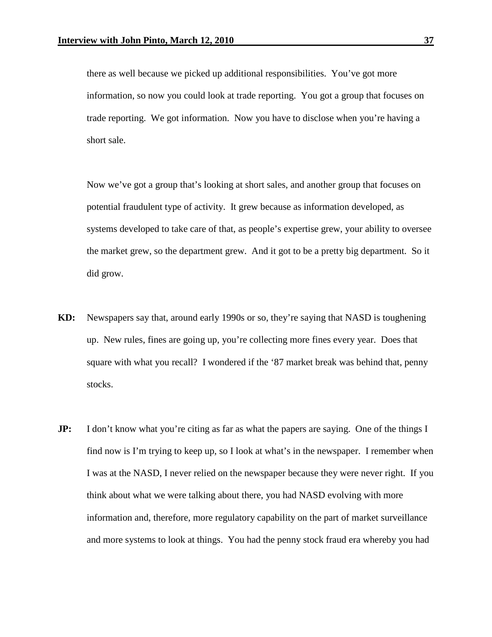there as well because we picked up additional responsibilities. You've got more information, so now you could look at trade reporting. You got a group that focuses on trade reporting. We got information. Now you have to disclose when you're having a short sale.

Now we've got a group that's looking at short sales, and another group that focuses on potential fraudulent type of activity. It grew because as information developed, as systems developed to take care of that, as people's expertise grew, your ability to oversee the market grew, so the department grew. And it got to be a pretty big department. So it did grow.

- **KD:** Newspapers say that, around early 1990s or so, they're saying that NASD is toughening up. New rules, fines are going up, you're collecting more fines every year. Does that square with what you recall? I wondered if the '87 market break was behind that, penny stocks.
- **JP:** I don't know what you're citing as far as what the papers are saying. One of the things I find now is I'm trying to keep up, so I look at what's in the newspaper. I remember when I was at the NASD, I never relied on the newspaper because they were never right. If you think about what we were talking about there, you had NASD evolving with more information and, therefore, more regulatory capability on the part of market surveillance and more systems to look at things. You had the penny stock fraud era whereby you had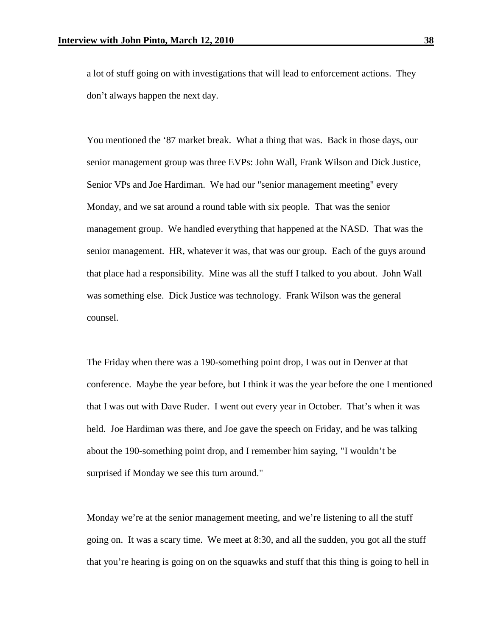a lot of stuff going on with investigations that will lead to enforcement actions. They don't always happen the next day.

You mentioned the '87 market break. What a thing that was. Back in those days, our senior management group was three EVPs: John Wall, Frank Wilson and Dick Justice, Senior VPs and Joe Hardiman. We had our "senior management meeting" every Monday, and we sat around a round table with six people. That was the senior management group. We handled everything that happened at the NASD. That was the senior management. HR, whatever it was, that was our group. Each of the guys around that place had a responsibility. Mine was all the stuff I talked to you about. John Wall was something else. Dick Justice was technology. Frank Wilson was the general counsel.

The Friday when there was a 190-something point drop, I was out in Denver at that conference. Maybe the year before, but I think it was the year before the one I mentioned that I was out with Dave Ruder. I went out every year in October. That's when it was held. Joe Hardiman was there, and Joe gave the speech on Friday, and he was talking about the 190-something point drop, and I remember him saying, "I wouldn't be surprised if Monday we see this turn around."

Monday we're at the senior management meeting, and we're listening to all the stuff going on. It was a scary time. We meet at 8:30, and all the sudden, you got all the stuff that you're hearing is going on on the squawks and stuff that this thing is going to hell in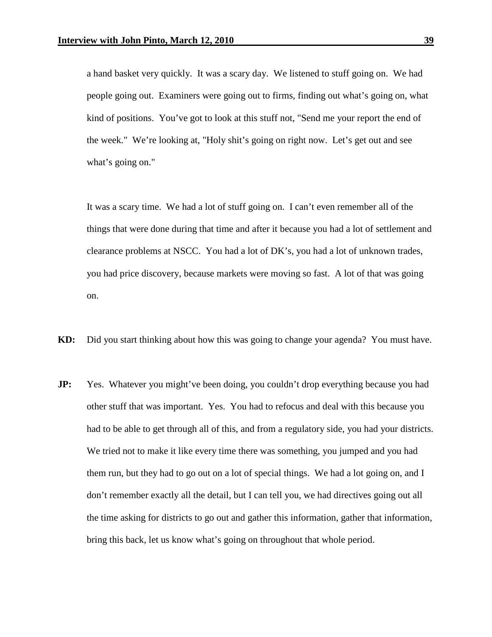a hand basket very quickly. It was a scary day. We listened to stuff going on. We had people going out. Examiners were going out to firms, finding out what's going on, what kind of positions. You've got to look at this stuff not, "Send me your report the end of the week." We're looking at, "Holy shit's going on right now. Let's get out and see what's going on."

It was a scary time. We had a lot of stuff going on. I can't even remember all of the things that were done during that time and after it because you had a lot of settlement and clearance problems at NSCC. You had a lot of DK's, you had a lot of unknown trades, you had price discovery, because markets were moving so fast. A lot of that was going on.

- **KD:** Did you start thinking about how this was going to change your agenda? You must have.
- **JP:** Yes. Whatever you might've been doing, you couldn't drop everything because you had other stuff that was important. Yes. You had to refocus and deal with this because you had to be able to get through all of this, and from a regulatory side, you had your districts. We tried not to make it like every time there was something, you jumped and you had them run, but they had to go out on a lot of special things. We had a lot going on, and I don't remember exactly all the detail, but I can tell you, we had directives going out all the time asking for districts to go out and gather this information, gather that information, bring this back, let us know what's going on throughout that whole period.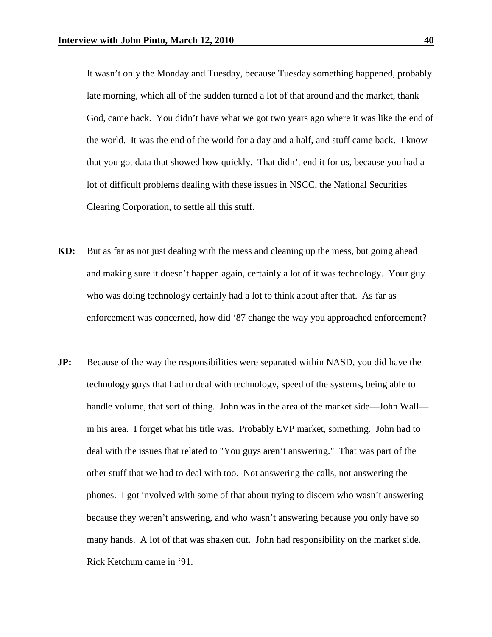It wasn't only the Monday and Tuesday, because Tuesday something happened, probably late morning, which all of the sudden turned a lot of that around and the market, thank God, came back. You didn't have what we got two years ago where it was like the end of the world. It was the end of the world for a day and a half, and stuff came back. I know that you got data that showed how quickly. That didn't end it for us, because you had a lot of difficult problems dealing with these issues in NSCC, the National Securities Clearing Corporation, to settle all this stuff.

- **KD:** But as far as not just dealing with the mess and cleaning up the mess, but going ahead and making sure it doesn't happen again, certainly a lot of it was technology. Your guy who was doing technology certainly had a lot to think about after that. As far as enforcement was concerned, how did '87 change the way you approached enforcement?
- **JP:** Because of the way the responsibilities were separated within NASD, you did have the technology guys that had to deal with technology, speed of the systems, being able to handle volume, that sort of thing. John was in the area of the market side—John Wall in his area. I forget what his title was. Probably EVP market, something. John had to deal with the issues that related to "You guys aren't answering." That was part of the other stuff that we had to deal with too. Not answering the calls, not answering the phones. I got involved with some of that about trying to discern who wasn't answering because they weren't answering, and who wasn't answering because you only have so many hands. A lot of that was shaken out. John had responsibility on the market side. Rick Ketchum came in '91.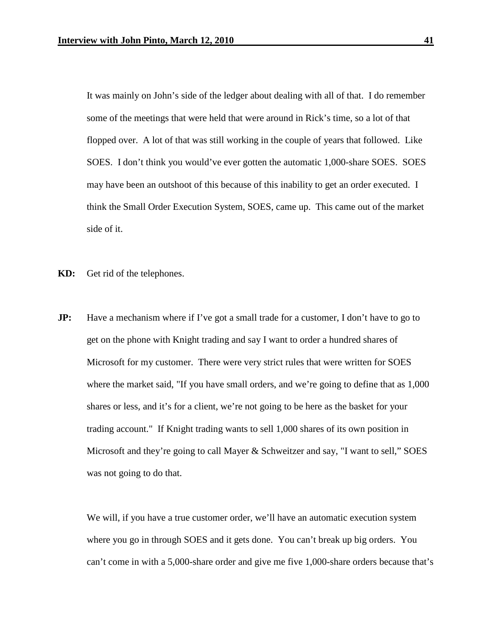It was mainly on John's side of the ledger about dealing with all of that. I do remember some of the meetings that were held that were around in Rick's time, so a lot of that flopped over. A lot of that was still working in the couple of years that followed. Like SOES. I don't think you would've ever gotten the automatic 1,000-share SOES. SOES may have been an outshoot of this because of this inability to get an order executed. I think the Small Order Execution System, SOES, came up. This came out of the market side of it.

- **KD:** Get rid of the telephones.
- **JP:** Have a mechanism where if I've got a small trade for a customer, I don't have to go to get on the phone with Knight trading and say I want to order a hundred shares of Microsoft for my customer. There were very strict rules that were written for SOES where the market said, "If you have small orders, and we're going to define that as 1,000 shares or less, and it's for a client, we're not going to be here as the basket for your trading account." If Knight trading wants to sell 1,000 shares of its own position in Microsoft and they're going to call Mayer & Schweitzer and say, "I want to sell," SOES was not going to do that.

We will, if you have a true customer order, we'll have an automatic execution system where you go in through SOES and it gets done. You can't break up big orders. You can't come in with a 5,000-share order and give me five 1,000-share orders because that's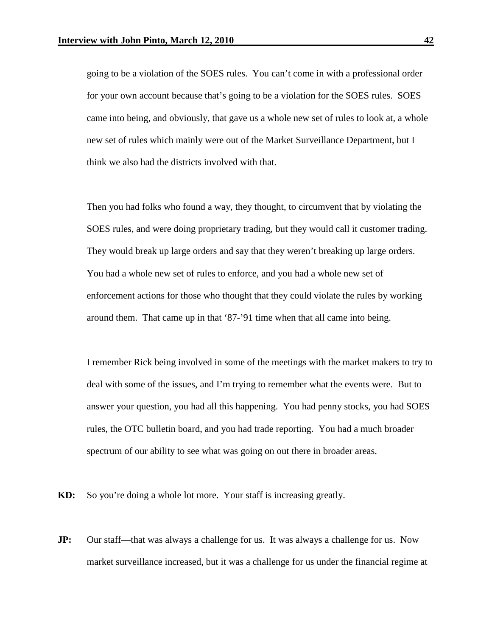going to be a violation of the SOES rules. You can't come in with a professional order for your own account because that's going to be a violation for the SOES rules. SOES came into being, and obviously, that gave us a whole new set of rules to look at, a whole new set of rules which mainly were out of the Market Surveillance Department, but I think we also had the districts involved with that.

Then you had folks who found a way, they thought, to circumvent that by violating the SOES rules, and were doing proprietary trading, but they would call it customer trading. They would break up large orders and say that they weren't breaking up large orders. You had a whole new set of rules to enforce, and you had a whole new set of enforcement actions for those who thought that they could violate the rules by working around them. That came up in that '87-'91 time when that all came into being.

I remember Rick being involved in some of the meetings with the market makers to try to deal with some of the issues, and I'm trying to remember what the events were. But to answer your question, you had all this happening. You had penny stocks, you had SOES rules, the OTC bulletin board, and you had trade reporting. You had a much broader spectrum of our ability to see what was going on out there in broader areas.

**KD:** So you're doing a whole lot more. Your staff is increasing greatly.

**JP:** Our staff—that was always a challenge for us. It was always a challenge for us. Now market surveillance increased, but it was a challenge for us under the financial regime at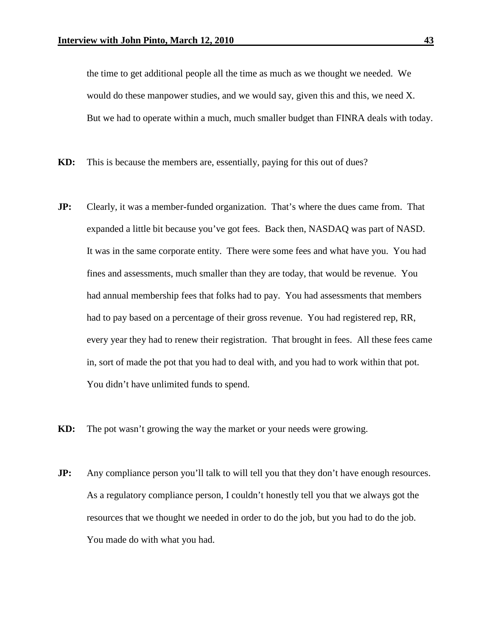the time to get additional people all the time as much as we thought we needed. We would do these manpower studies, and we would say, given this and this, we need X. But we had to operate within a much, much smaller budget than FINRA deals with today.

- **KD:** This is because the members are, essentially, paying for this out of dues?
- **JP:** Clearly, it was a member-funded organization. That's where the dues came from. That expanded a little bit because you've got fees. Back then, NASDAQ was part of NASD. It was in the same corporate entity. There were some fees and what have you. You had fines and assessments, much smaller than they are today, that would be revenue. You had annual membership fees that folks had to pay. You had assessments that members had to pay based on a percentage of their gross revenue. You had registered rep, RR, every year they had to renew their registration. That brought in fees. All these fees came in, sort of made the pot that you had to deal with, and you had to work within that pot. You didn't have unlimited funds to spend.
- **KD:** The pot wasn't growing the way the market or your needs were growing.
- **JP:** Any compliance person you'll talk to will tell you that they don't have enough resources. As a regulatory compliance person, I couldn't honestly tell you that we always got the resources that we thought we needed in order to do the job, but you had to do the job. You made do with what you had.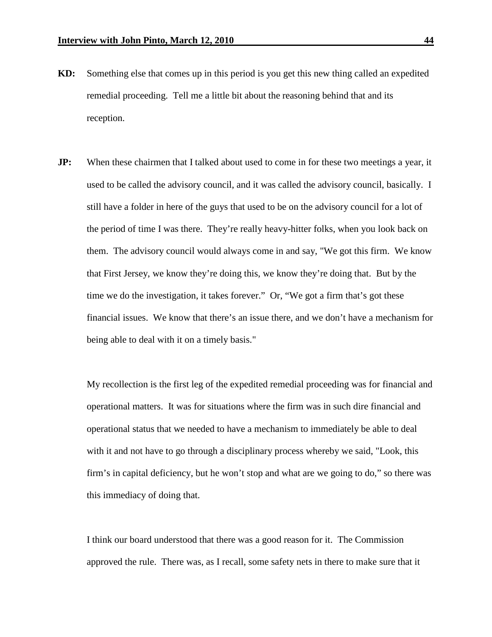- **KD:** Something else that comes up in this period is you get this new thing called an expedited remedial proceeding. Tell me a little bit about the reasoning behind that and its reception.
- **JP:** When these chairmen that I talked about used to come in for these two meetings a year, it used to be called the advisory council, and it was called the advisory council, basically. I still have a folder in here of the guys that used to be on the advisory council for a lot of the period of time I was there. They're really heavy-hitter folks, when you look back on them. The advisory council would always come in and say, "We got this firm. We know that First Jersey, we know they're doing this, we know they're doing that. But by the time we do the investigation, it takes forever." Or, "We got a firm that's got these financial issues. We know that there's an issue there, and we don't have a mechanism for being able to deal with it on a timely basis."

My recollection is the first leg of the expedited remedial proceeding was for financial and operational matters. It was for situations where the firm was in such dire financial and operational status that we needed to have a mechanism to immediately be able to deal with it and not have to go through a disciplinary process whereby we said, "Look, this firm's in capital deficiency, but he won't stop and what are we going to do," so there was this immediacy of doing that.

I think our board understood that there was a good reason for it. The Commission approved the rule. There was, as I recall, some safety nets in there to make sure that it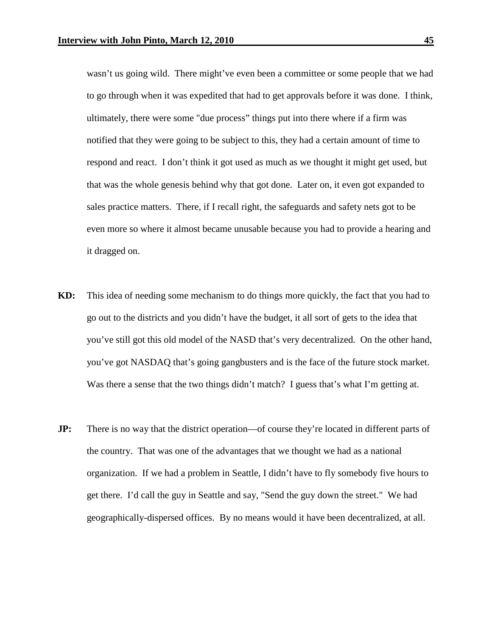wasn't us going wild. There might've even been a committee or some people that we had to go through when it was expedited that had to get approvals before it was done. I think, ultimately, there were some "due process" things put into there where if a firm was notified that they were going to be subject to this, they had a certain amount of time to respond and react. I don't think it got used as much as we thought it might get used, but that was the whole genesis behind why that got done. Later on, it even got expanded to sales practice matters. There, if I recall right, the safeguards and safety nets got to be even more so where it almost became unusable because you had to provide a hearing and it dragged on.

- **KD:** This idea of needing some mechanism to do things more quickly, the fact that you had to go out to the districts and you didn't have the budget, it all sort of gets to the idea that you've still got this old model of the NASD that's very decentralized. On the other hand, you've got NASDAQ that's going gangbusters and is the face of the future stock market. Was there a sense that the two things didn't match? I guess that's what I'm getting at.
- **JP:** There is no way that the district operation—of course they're located in different parts of the country. That was one of the advantages that we thought we had as a national organization. If we had a problem in Seattle, I didn't have to fly somebody five hours to get there. I'd call the guy in Seattle and say, "Send the guy down the street." We had geographically-dispersed offices. By no means would it have been decentralized, at all.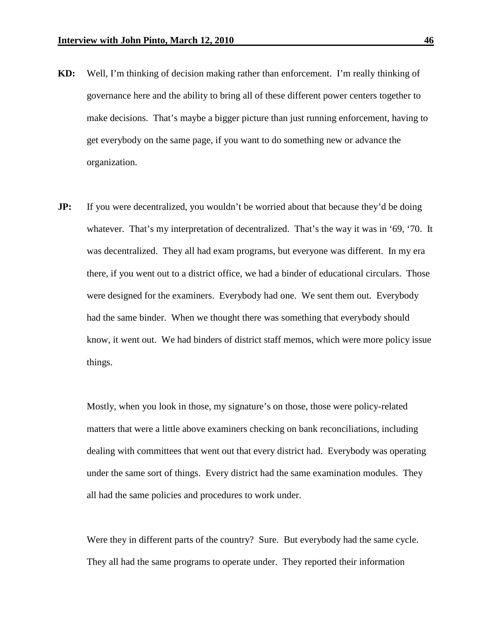- **KD:** Well, I'm thinking of decision making rather than enforcement. I'm really thinking of governance here and the ability to bring all of these different power centers together to make decisions. That's maybe a bigger picture than just running enforcement, having to get everybody on the same page, if you want to do something new or advance the organization.
- **JP:** If you were decentralized, you wouldn't be worried about that because they'd be doing whatever. That's my interpretation of decentralized. That's the way it was in '69, '70. It was decentralized. They all had exam programs, but everyone was different. In my era there, if you went out to a district office, we had a binder of educational circulars. Those were designed for the examiners. Everybody had one. We sent them out. Everybody had the same binder. When we thought there was something that everybody should know, it went out. We had binders of district staff memos, which were more policy issue things.

Mostly, when you look in those, my signature's on those, those were policy-related matters that were a little above examiners checking on bank reconciliations, including dealing with committees that went out that every district had. Everybody was operating under the same sort of things. Every district had the same examination modules. They all had the same policies and procedures to work under.

Were they in different parts of the country? Sure. But everybody had the same cycle. They all had the same programs to operate under. They reported their information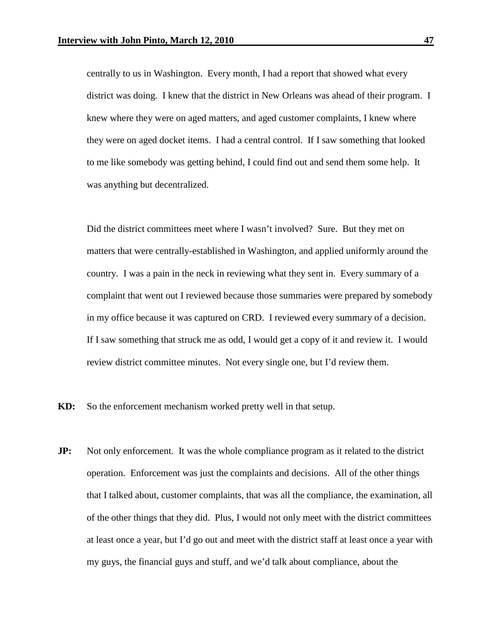centrally to us in Washington. Every month, I had a report that showed what every district was doing. I knew that the district in New Orleans was ahead of their program. I knew where they were on aged matters, and aged customer complaints, I knew where they were on aged docket items. I had a central control. If I saw something that looked to me like somebody was getting behind, I could find out and send them some help. It was anything but decentralized.

Did the district committees meet where I wasn't involved? Sure. But they met on matters that were centrally-established in Washington, and applied uniformly around the country. I was a pain in the neck in reviewing what they sent in. Every summary of a complaint that went out I reviewed because those summaries were prepared by somebody in my office because it was captured on CRD. I reviewed every summary of a decision. If I saw something that struck me as odd, I would get a copy of it and review it. I would review district committee minutes. Not every single one, but I'd review them.

**KD:** So the enforcement mechanism worked pretty well in that setup.

**JP:** Not only enforcement. It was the whole compliance program as it related to the district operation. Enforcement was just the complaints and decisions. All of the other things that I talked about, customer complaints, that was all the compliance, the examination, all of the other things that they did. Plus, I would not only meet with the district committees at least once a year, but I'd go out and meet with the district staff at least once a year with my guys, the financial guys and stuff, and we'd talk about compliance, about the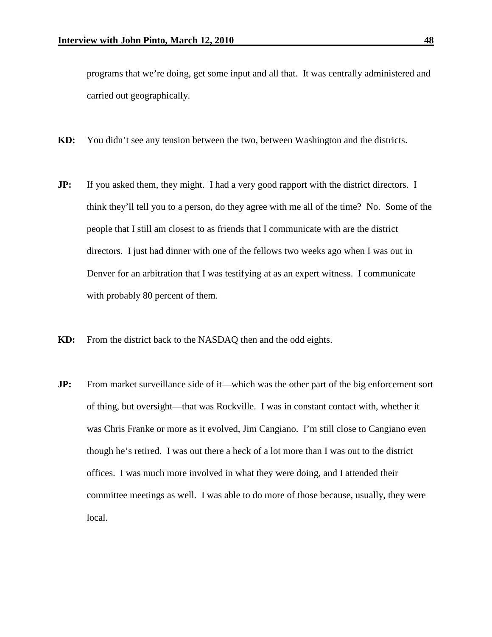programs that we're doing, get some input and all that. It was centrally administered and carried out geographically.

- **KD:** You didn't see any tension between the two, between Washington and the districts.
- **JP:** If you asked them, they might. I had a very good rapport with the district directors. I think they'll tell you to a person, do they agree with me all of the time? No. Some of the people that I still am closest to as friends that I communicate with are the district directors. I just had dinner with one of the fellows two weeks ago when I was out in Denver for an arbitration that I was testifying at as an expert witness. I communicate with probably 80 percent of them.
- **KD:** From the district back to the NASDAQ then and the odd eights.
- **JP:** From market surveillance side of it—which was the other part of the big enforcement sort of thing, but oversight—that was Rockville. I was in constant contact with, whether it was Chris Franke or more as it evolved, Jim Cangiano. I'm still close to Cangiano even though he's retired. I was out there a heck of a lot more than I was out to the district offices. I was much more involved in what they were doing, and I attended their committee meetings as well. I was able to do more of those because, usually, they were local.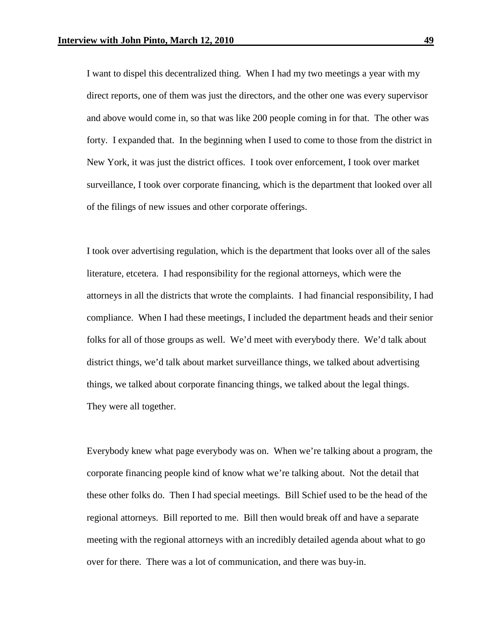I want to dispel this decentralized thing. When I had my two meetings a year with my direct reports, one of them was just the directors, and the other one was every supervisor and above would come in, so that was like 200 people coming in for that. The other was forty. I expanded that. In the beginning when I used to come to those from the district in New York, it was just the district offices. I took over enforcement, I took over market surveillance, I took over corporate financing, which is the department that looked over all of the filings of new issues and other corporate offerings.

I took over advertising regulation, which is the department that looks over all of the sales literature, etcetera. I had responsibility for the regional attorneys, which were the attorneys in all the districts that wrote the complaints. I had financial responsibility, I had compliance. When I had these meetings, I included the department heads and their senior folks for all of those groups as well. We'd meet with everybody there. We'd talk about district things, we'd talk about market surveillance things, we talked about advertising things, we talked about corporate financing things, we talked about the legal things. They were all together.

Everybody knew what page everybody was on. When we're talking about a program, the corporate financing people kind of know what we're talking about. Not the detail that these other folks do. Then I had special meetings. Bill Schief used to be the head of the regional attorneys. Bill reported to me. Bill then would break off and have a separate meeting with the regional attorneys with an incredibly detailed agenda about what to go over for there. There was a lot of communication, and there was buy-in.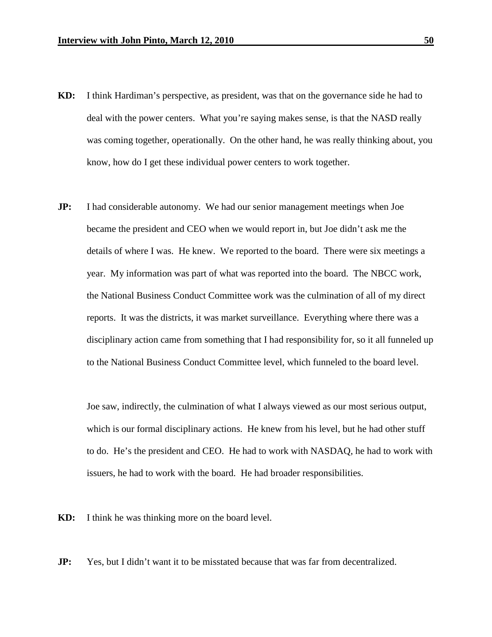- **KD:** I think Hardiman's perspective, as president, was that on the governance side he had to deal with the power centers. What you're saying makes sense, is that the NASD really was coming together, operationally. On the other hand, he was really thinking about, you know, how do I get these individual power centers to work together.
- **JP:** I had considerable autonomy. We had our senior management meetings when Joe became the president and CEO when we would report in, but Joe didn't ask me the details of where I was. He knew. We reported to the board. There were six meetings a year. My information was part of what was reported into the board. The NBCC work, the National Business Conduct Committee work was the culmination of all of my direct reports. It was the districts, it was market surveillance. Everything where there was a disciplinary action came from something that I had responsibility for, so it all funneled up to the National Business Conduct Committee level, which funneled to the board level.

Joe saw, indirectly, the culmination of what I always viewed as our most serious output, which is our formal disciplinary actions. He knew from his level, but he had other stuff to do. He's the president and CEO. He had to work with NASDAQ, he had to work with issuers, he had to work with the board. He had broader responsibilities.

**KD:** I think he was thinking more on the board level.

**JP:** Yes, but I didn't want it to be misstated because that was far from decentralized.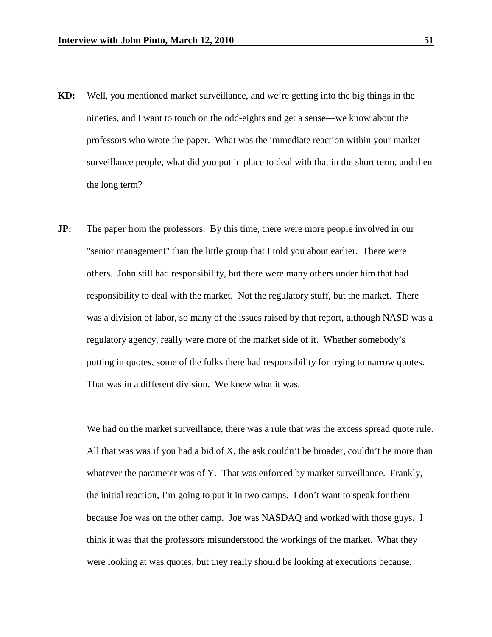- **KD:** Well, you mentioned market surveillance, and we're getting into the big things in the nineties, and I want to touch on the odd-eights and get a sense—we know about the professors who wrote the paper. What was the immediate reaction within your market surveillance people, what did you put in place to deal with that in the short term, and then the long term?
- **JP:** The paper from the professors. By this time, there were more people involved in our "senior management" than the little group that I told you about earlier. There were others. John still had responsibility, but there were many others under him that had responsibility to deal with the market. Not the regulatory stuff, but the market. There was a division of labor, so many of the issues raised by that report, although NASD was a regulatory agency, really were more of the market side of it. Whether somebody's putting in quotes, some of the folks there had responsibility for trying to narrow quotes. That was in a different division. We knew what it was.

We had on the market surveillance, there was a rule that was the excess spread quote rule. All that was was if you had a bid of X, the ask couldn't be broader, couldn't be more than whatever the parameter was of Y. That was enforced by market surveillance. Frankly, the initial reaction, I'm going to put it in two camps. I don't want to speak for them because Joe was on the other camp. Joe was NASDAQ and worked with those guys. I think it was that the professors misunderstood the workings of the market. What they were looking at was quotes, but they really should be looking at executions because,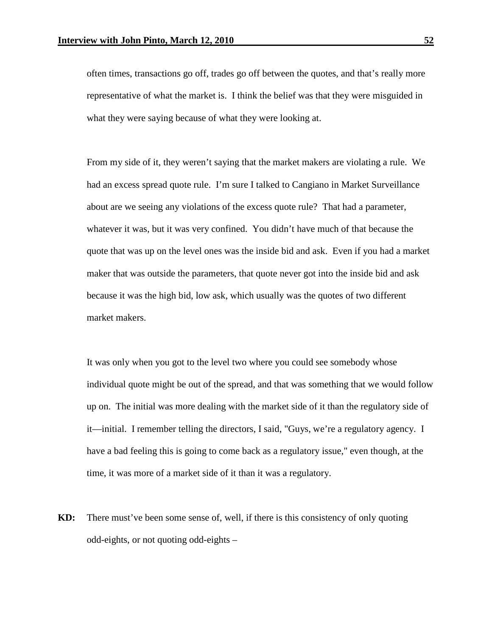often times, transactions go off, trades go off between the quotes, and that's really more representative of what the market is. I think the belief was that they were misguided in what they were saying because of what they were looking at.

From my side of it, they weren't saying that the market makers are violating a rule. We had an excess spread quote rule. I'm sure I talked to Cangiano in Market Surveillance about are we seeing any violations of the excess quote rule? That had a parameter, whatever it was, but it was very confined. You didn't have much of that because the quote that was up on the level ones was the inside bid and ask. Even if you had a market maker that was outside the parameters, that quote never got into the inside bid and ask because it was the high bid, low ask, which usually was the quotes of two different market makers.

It was only when you got to the level two where you could see somebody whose individual quote might be out of the spread, and that was something that we would follow up on. The initial was more dealing with the market side of it than the regulatory side of it—initial. I remember telling the directors, I said, "Guys, we're a regulatory agency. I have a bad feeling this is going to come back as a regulatory issue," even though, at the time, it was more of a market side of it than it was a regulatory.

**KD:** There must've been some sense of, well, if there is this consistency of only quoting odd-eights, or not quoting odd-eights –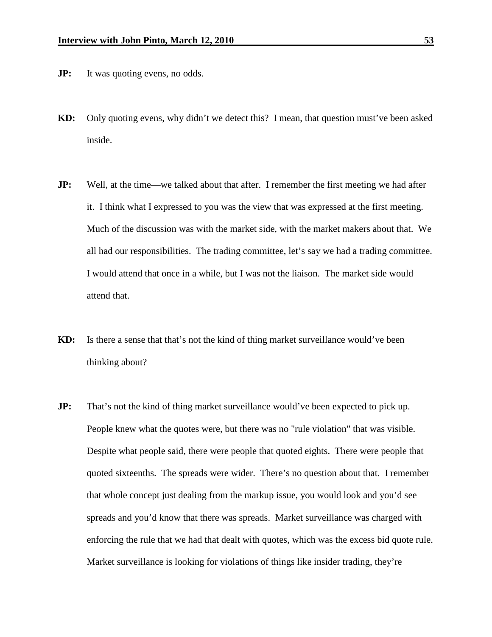- **JP:** It was quoting evens, no odds.
- **KD:** Only quoting evens, why didn't we detect this? I mean, that question must've been asked inside.
- **JP:** Well, at the time—we talked about that after. I remember the first meeting we had after it. I think what I expressed to you was the view that was expressed at the first meeting. Much of the discussion was with the market side, with the market makers about that. We all had our responsibilities. The trading committee, let's say we had a trading committee. I would attend that once in a while, but I was not the liaison. The market side would attend that.
- **KD:** Is there a sense that that's not the kind of thing market surveillance would've been thinking about?
- **JP:** That's not the kind of thing market surveillance would've been expected to pick up. People knew what the quotes were, but there was no "rule violation" that was visible. Despite what people said, there were people that quoted eights. There were people that quoted sixteenths. The spreads were wider. There's no question about that. I remember that whole concept just dealing from the markup issue, you would look and you'd see spreads and you'd know that there was spreads. Market surveillance was charged with enforcing the rule that we had that dealt with quotes, which was the excess bid quote rule. Market surveillance is looking for violations of things like insider trading, they're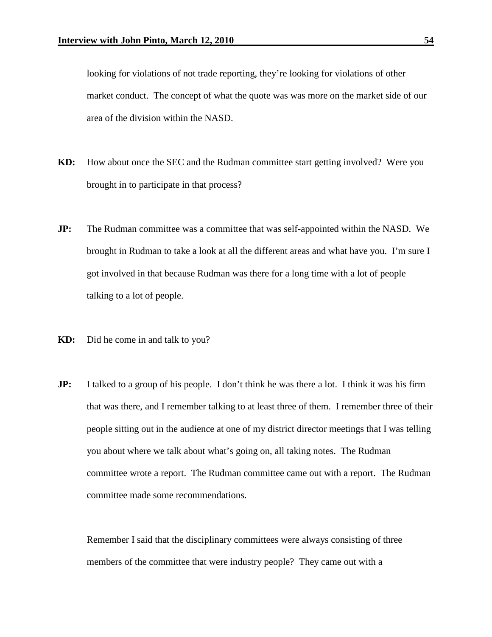looking for violations of not trade reporting, they're looking for violations of other market conduct. The concept of what the quote was was more on the market side of our area of the division within the NASD.

- **KD:** How about once the SEC and the Rudman committee start getting involved? Were you brought in to participate in that process?
- **JP:** The Rudman committee was a committee that was self-appointed within the NASD. We brought in Rudman to take a look at all the different areas and what have you. I'm sure I got involved in that because Rudman was there for a long time with a lot of people talking to a lot of people.
- **KD:** Did he come in and talk to you?
- **JP:** I talked to a group of his people. I don't think he was there a lot. I think it was his firm that was there, and I remember talking to at least three of them. I remember three of their people sitting out in the audience at one of my district director meetings that I was telling you about where we talk about what's going on, all taking notes. The Rudman committee wrote a report. The Rudman committee came out with a report. The Rudman committee made some recommendations.

Remember I said that the disciplinary committees were always consisting of three members of the committee that were industry people? They came out with a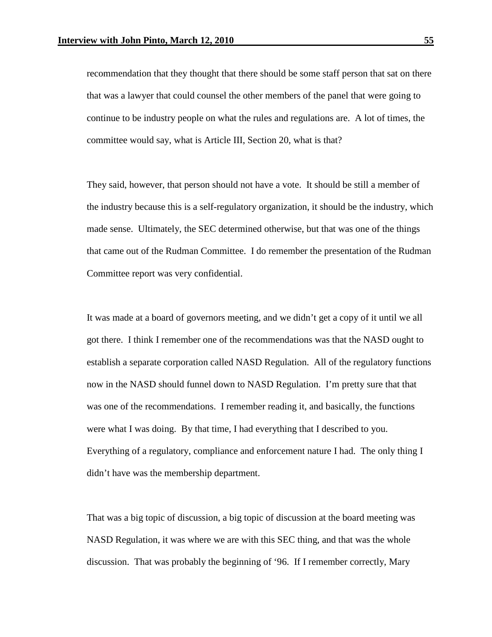recommendation that they thought that there should be some staff person that sat on there that was a lawyer that could counsel the other members of the panel that were going to continue to be industry people on what the rules and regulations are. A lot of times, the committee would say, what is Article III, Section 20, what is that?

They said, however, that person should not have a vote. It should be still a member of the industry because this is a self-regulatory organization, it should be the industry, which made sense. Ultimately, the SEC determined otherwise, but that was one of the things that came out of the Rudman Committee. I do remember the presentation of the Rudman Committee report was very confidential.

It was made at a board of governors meeting, and we didn't get a copy of it until we all got there. I think I remember one of the recommendations was that the NASD ought to establish a separate corporation called NASD Regulation. All of the regulatory functions now in the NASD should funnel down to NASD Regulation. I'm pretty sure that that was one of the recommendations. I remember reading it, and basically, the functions were what I was doing. By that time, I had everything that I described to you. Everything of a regulatory, compliance and enforcement nature I had. The only thing I didn't have was the membership department.

That was a big topic of discussion, a big topic of discussion at the board meeting was NASD Regulation, it was where we are with this SEC thing, and that was the whole discussion. That was probably the beginning of '96. If I remember correctly, Mary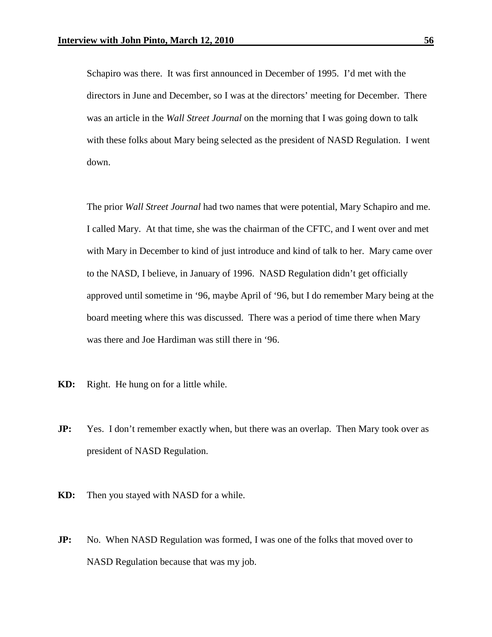Schapiro was there. It was first announced in December of 1995. I'd met with the directors in June and December, so I was at the directors' meeting for December. There was an article in the *Wall Street Journal* on the morning that I was going down to talk with these folks about Mary being selected as the president of NASD Regulation. I went down.

The prior *Wall Street Journal* had two names that were potential, Mary Schapiro and me. I called Mary. At that time, she was the chairman of the CFTC, and I went over and met with Mary in December to kind of just introduce and kind of talk to her. Mary came over to the NASD, I believe, in January of 1996. NASD Regulation didn't get officially approved until sometime in '96, maybe April of '96, but I do remember Mary being at the board meeting where this was discussed. There was a period of time there when Mary was there and Joe Hardiman was still there in '96.

- **KD:** Right. He hung on for a little while.
- **JP:** Yes. I don't remember exactly when, but there was an overlap. Then Mary took over as president of NASD Regulation.
- **KD:** Then you stayed with NASD for a while.
- **JP:** No. When NASD Regulation was formed, I was one of the folks that moved over to NASD Regulation because that was my job.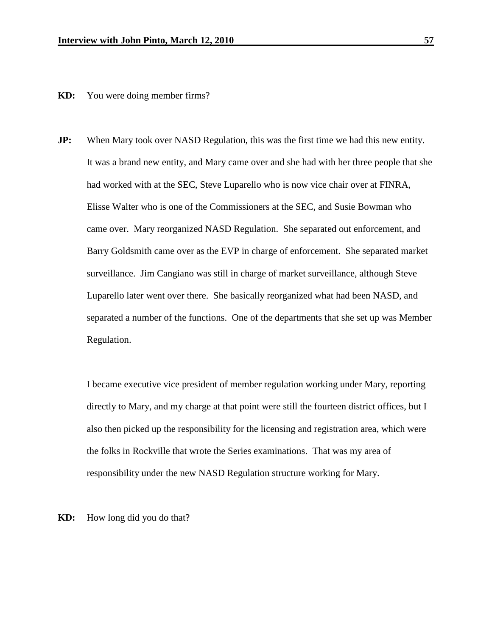**KD:** You were doing member firms?

**JP:** When Mary took over NASD Regulation, this was the first time we had this new entity. It was a brand new entity, and Mary came over and she had with her three people that she had worked with at the SEC, Steve Luparello who is now vice chair over at FINRA, Elisse Walter who is one of the Commissioners at the SEC, and Susie Bowman who came over. Mary reorganized NASD Regulation. She separated out enforcement, and Barry Goldsmith came over as the EVP in charge of enforcement. She separated market surveillance. Jim Cangiano was still in charge of market surveillance, although Steve Luparello later went over there. She basically reorganized what had been NASD, and separated a number of the functions. One of the departments that she set up was Member Regulation.

I became executive vice president of member regulation working under Mary, reporting directly to Mary, and my charge at that point were still the fourteen district offices, but I also then picked up the responsibility for the licensing and registration area, which were the folks in Rockville that wrote the Series examinations. That was my area of responsibility under the new NASD Regulation structure working for Mary.

**KD:** How long did you do that?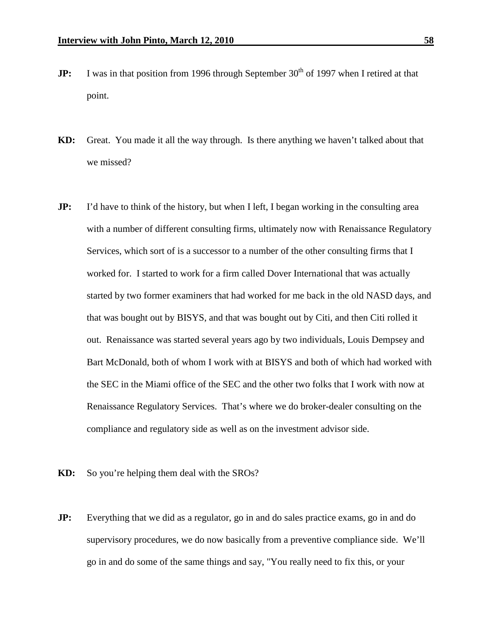- **JP:** I was in that position from 1996 through September 30<sup>th</sup> of 1997 when I retired at that point.
- **KD:** Great. You made it all the way through. Is there anything we haven't talked about that we missed?
- **JP:** I'd have to think of the history, but when I left, I began working in the consulting area with a number of different consulting firms, ultimately now with Renaissance Regulatory Services, which sort of is a successor to a number of the other consulting firms that I worked for. I started to work for a firm called Dover International that was actually started by two former examiners that had worked for me back in the old NASD days, and that was bought out by BISYS, and that was bought out by Citi, and then Citi rolled it out. Renaissance was started several years ago by two individuals, Louis Dempsey and Bart McDonald, both of whom I work with at BISYS and both of which had worked with the SEC in the Miami office of the SEC and the other two folks that I work with now at Renaissance Regulatory Services. That's where we do broker-dealer consulting on the compliance and regulatory side as well as on the investment advisor side.
- **KD:** So you're helping them deal with the SROs?
- **JP:** Everything that we did as a regulator, go in and do sales practice exams, go in and do supervisory procedures, we do now basically from a preventive compliance side. We'll go in and do some of the same things and say, "You really need to fix this, or your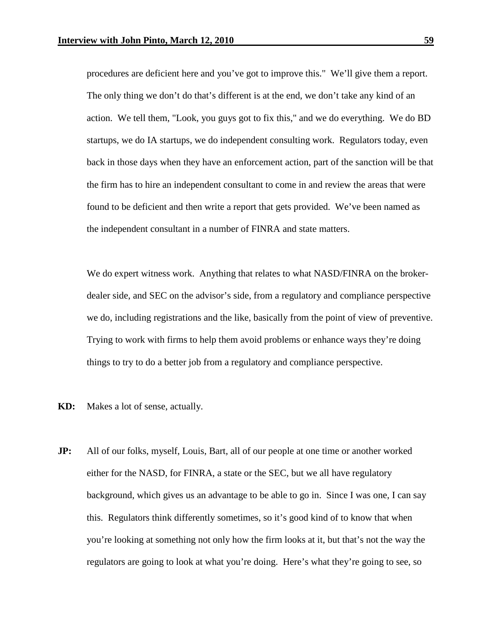procedures are deficient here and you've got to improve this." We'll give them a report. The only thing we don't do that's different is at the end, we don't take any kind of an action. We tell them, "Look, you guys got to fix this," and we do everything. We do BD startups, we do IA startups, we do independent consulting work. Regulators today, even back in those days when they have an enforcement action, part of the sanction will be that the firm has to hire an independent consultant to come in and review the areas that were found to be deficient and then write a report that gets provided. We've been named as the independent consultant in a number of FINRA and state matters.

We do expert witness work. Anything that relates to what NASD/FINRA on the brokerdealer side, and SEC on the advisor's side, from a regulatory and compliance perspective we do, including registrations and the like, basically from the point of view of preventive. Trying to work with firms to help them avoid problems or enhance ways they're doing things to try to do a better job from a regulatory and compliance perspective.

- **KD:** Makes a lot of sense, actually.
- **JP:** All of our folks, myself, Louis, Bart, all of our people at one time or another worked either for the NASD, for FINRA, a state or the SEC, but we all have regulatory background, which gives us an advantage to be able to go in. Since I was one, I can say this. Regulators think differently sometimes, so it's good kind of to know that when you're looking at something not only how the firm looks at it, but that's not the way the regulators are going to look at what you're doing. Here's what they're going to see, so